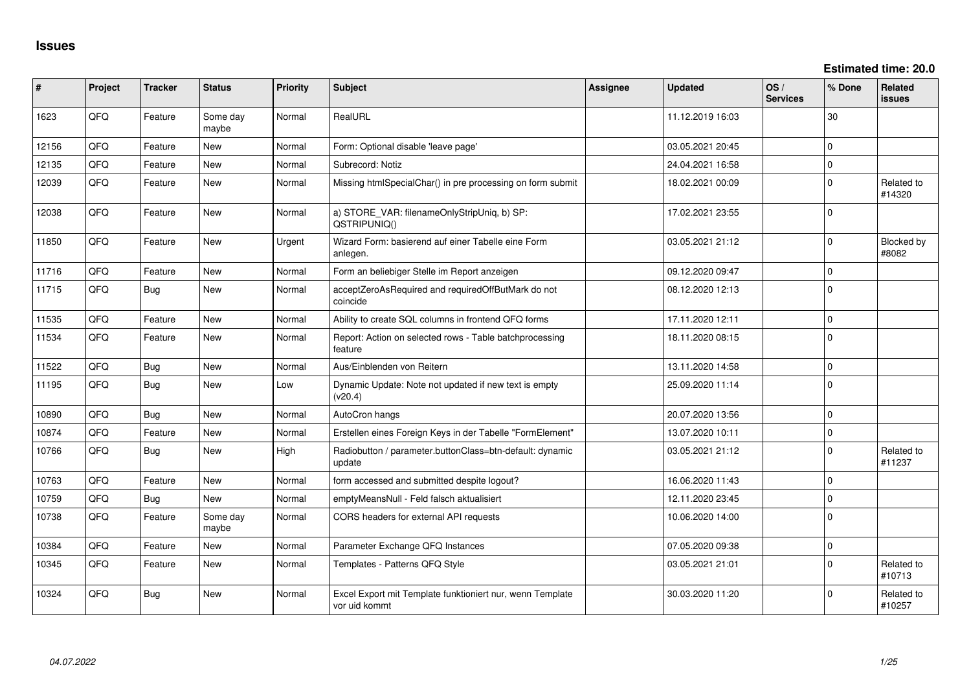**Estimated time: 20.0**

| #     | Project | <b>Tracker</b> | <b>Status</b>     | <b>Priority</b> | <b>Subject</b>                                                             | Assignee | <b>Updated</b>   | OS/<br><b>Services</b> | % Done      | Related<br><b>issues</b> |
|-------|---------|----------------|-------------------|-----------------|----------------------------------------------------------------------------|----------|------------------|------------------------|-------------|--------------------------|
| 1623  | QFQ     | Feature        | Some day<br>maybe | Normal          | RealURL                                                                    |          | 11.12.2019 16:03 |                        | 30          |                          |
| 12156 | QFQ     | Feature        | <b>New</b>        | Normal          | Form: Optional disable 'leave page'                                        |          | 03.05.2021 20:45 |                        | $\Omega$    |                          |
| 12135 | QFQ     | Feature        | New               | Normal          | Subrecord: Notiz                                                           |          | 24.04.2021 16:58 |                        | $\Omega$    |                          |
| 12039 | QFQ     | Feature        | <b>New</b>        | Normal          | Missing htmlSpecialChar() in pre processing on form submit                 |          | 18.02.2021 00:09 |                        | $\Omega$    | Related to<br>#14320     |
| 12038 | QFQ     | Feature        | <b>New</b>        | Normal          | a) STORE_VAR: filenameOnlyStripUniq, b) SP:<br>QSTRIPUNIQ()                |          | 17.02.2021 23:55 |                        | $\Omega$    |                          |
| 11850 | QFQ     | Feature        | <b>New</b>        | Urgent          | Wizard Form: basierend auf einer Tabelle eine Form<br>anlegen.             |          | 03.05.2021 21:12 |                        | $\Omega$    | Blocked by<br>#8082      |
| 11716 | QFQ     | Feature        | New               | Normal          | Form an beliebiger Stelle im Report anzeigen                               |          | 09.12.2020 09:47 |                        | $\Omega$    |                          |
| 11715 | QFQ     | <b>Bug</b>     | <b>New</b>        | Normal          | acceptZeroAsRequired and requiredOffButMark do not<br>coincide             |          | 08.12.2020 12:13 |                        | $\Omega$    |                          |
| 11535 | QFQ     | Feature        | New               | Normal          | Ability to create SQL columns in frontend QFQ forms                        |          | 17.11.2020 12:11 |                        | 0           |                          |
| 11534 | QFQ     | Feature        | New               | Normal          | Report: Action on selected rows - Table batchprocessing<br>feature         |          | 18.11.2020 08:15 |                        | $\Omega$    |                          |
| 11522 | QFQ     | <b>Bug</b>     | New               | Normal          | Aus/Einblenden von Reitern                                                 |          | 13.11.2020 14:58 |                        | $\Omega$    |                          |
| 11195 | QFQ     | <b>Bug</b>     | <b>New</b>        | Low             | Dynamic Update: Note not updated if new text is empty<br>(v20.4)           |          | 25.09.2020 11:14 |                        | $\Omega$    |                          |
| 10890 | QFQ     | <b>Bug</b>     | <b>New</b>        | Normal          | AutoCron hangs                                                             |          | 20.07.2020 13:56 |                        | $\Omega$    |                          |
| 10874 | QFQ     | Feature        | <b>New</b>        | Normal          | Erstellen eines Foreign Keys in der Tabelle "FormElement"                  |          | 13.07.2020 10:11 |                        | $\mathbf 0$ |                          |
| 10766 | QFQ     | Bug            | <b>New</b>        | High            | Radiobutton / parameter.buttonClass=btn-default: dynamic<br>update         |          | 03.05.2021 21:12 |                        | $\Omega$    | Related to<br>#11237     |
| 10763 | QFQ     | Feature        | New               | Normal          | form accessed and submitted despite logout?                                |          | 16.06.2020 11:43 |                        | $\Omega$    |                          |
| 10759 | QFQ     | Bug            | <b>New</b>        | Normal          | emptyMeansNull - Feld falsch aktualisiert                                  |          | 12.11.2020 23:45 |                        | $\Omega$    |                          |
| 10738 | QFQ     | Feature        | Some day<br>maybe | Normal          | CORS headers for external API requests                                     |          | 10.06.2020 14:00 |                        | $\Omega$    |                          |
| 10384 | QFQ     | Feature        | <b>New</b>        | Normal          | Parameter Exchange QFQ Instances                                           |          | 07.05.2020 09:38 |                        | $\Omega$    |                          |
| 10345 | QFQ     | Feature        | New               | Normal          | Templates - Patterns QFQ Style                                             |          | 03.05.2021 21:01 |                        | $\Omega$    | Related to<br>#10713     |
| 10324 | QFQ     | <b>Bug</b>     | New               | Normal          | Excel Export mit Template funktioniert nur, wenn Template<br>vor uid kommt |          | 30.03.2020 11:20 |                        | $\Omega$    | Related to<br>#10257     |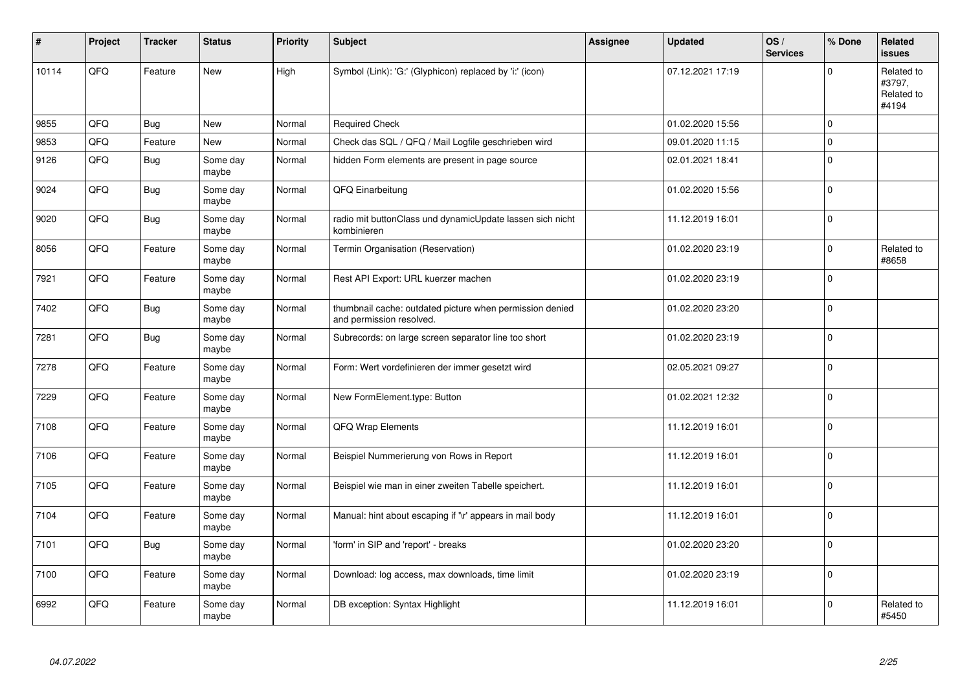| #     | Project | <b>Tracker</b> | <b>Status</b>     | <b>Priority</b> | <b>Subject</b>                                                                       | Assignee | <b>Updated</b>   | OS/<br><b>Services</b> | % Done      | Related<br>issues                           |
|-------|---------|----------------|-------------------|-----------------|--------------------------------------------------------------------------------------|----------|------------------|------------------------|-------------|---------------------------------------------|
| 10114 | QFQ     | Feature        | <b>New</b>        | High            | Symbol (Link): 'G:' (Glyphicon) replaced by 'i:' (icon)                              |          | 07.12.2021 17:19 |                        | $\Omega$    | Related to<br>#3797,<br>Related to<br>#4194 |
| 9855  | QFQ     | <b>Bug</b>     | <b>New</b>        | Normal          | <b>Required Check</b>                                                                |          | 01.02.2020 15:56 |                        | $\mathbf 0$ |                                             |
| 9853  | QFQ     | Feature        | <b>New</b>        | Normal          | Check das SQL / QFQ / Mail Logfile geschrieben wird                                  |          | 09.01.2020 11:15 |                        | $\mathbf 0$ |                                             |
| 9126  | QFQ     | <b>Bug</b>     | Some day<br>maybe | Normal          | hidden Form elements are present in page source                                      |          | 02.01.2021 18:41 |                        | $\mathbf 0$ |                                             |
| 9024  | QFQ     | <b>Bug</b>     | Some day<br>maybe | Normal          | QFQ Einarbeitung                                                                     |          | 01.02.2020 15:56 |                        | $\Omega$    |                                             |
| 9020  | QFQ     | Bug            | Some day<br>maybe | Normal          | radio mit buttonClass und dynamicUpdate lassen sich nicht<br>kombinieren             |          | 11.12.2019 16:01 |                        | $\mathbf 0$ |                                             |
| 8056  | QFQ     | Feature        | Some day<br>maybe | Normal          | Termin Organisation (Reservation)                                                    |          | 01.02.2020 23:19 |                        | $\mathbf 0$ | Related to<br>#8658                         |
| 7921  | QFQ     | Feature        | Some day<br>maybe | Normal          | Rest API Export: URL kuerzer machen                                                  |          | 01.02.2020 23:19 |                        | $\Omega$    |                                             |
| 7402  | QFQ     | <b>Bug</b>     | Some day<br>maybe | Normal          | thumbnail cache: outdated picture when permission denied<br>and permission resolved. |          | 01.02.2020 23:20 |                        | $\Omega$    |                                             |
| 7281  | QFQ     | <b>Bug</b>     | Some day<br>maybe | Normal          | Subrecords: on large screen separator line too short                                 |          | 01.02.2020 23:19 |                        | $\Omega$    |                                             |
| 7278  | QFQ     | Feature        | Some day<br>maybe | Normal          | Form: Wert vordefinieren der immer gesetzt wird                                      |          | 02.05.2021 09:27 |                        | $\mathbf 0$ |                                             |
| 7229  | QFQ     | Feature        | Some day<br>maybe | Normal          | New FormElement.type: Button                                                         |          | 01.02.2021 12:32 |                        | $\mathbf 0$ |                                             |
| 7108  | QFQ     | Feature        | Some day<br>maybe | Normal          | QFQ Wrap Elements                                                                    |          | 11.12.2019 16:01 |                        | $\mathbf 0$ |                                             |
| 7106  | QFG     | Feature        | Some day<br>maybe | Normal          | Beispiel Nummerierung von Rows in Report                                             |          | 11.12.2019 16:01 |                        | $\mathbf 0$ |                                             |
| 7105  | QFQ     | Feature        | Some day<br>maybe | Normal          | Beispiel wie man in einer zweiten Tabelle speichert.                                 |          | 11.12.2019 16:01 |                        | $\Omega$    |                                             |
| 7104  | QFQ     | Feature        | Some day<br>maybe | Normal          | Manual: hint about escaping if '\r' appears in mail body                             |          | 11.12.2019 16:01 |                        | $\mathbf 0$ |                                             |
| 7101  | QFQ     | <b>Bug</b>     | Some day<br>maybe | Normal          | 'form' in SIP and 'report' - breaks                                                  |          | 01.02.2020 23:20 |                        | $\Omega$    |                                             |
| 7100  | QFG     | Feature        | Some day<br>maybe | Normal          | Download: log access, max downloads, time limit                                      |          | 01.02.2020 23:19 |                        | $\mathbf 0$ |                                             |
| 6992  | QFQ     | Feature        | Some day<br>maybe | Normal          | DB exception: Syntax Highlight                                                       |          | 11.12.2019 16:01 |                        | $\Omega$    | Related to<br>#5450                         |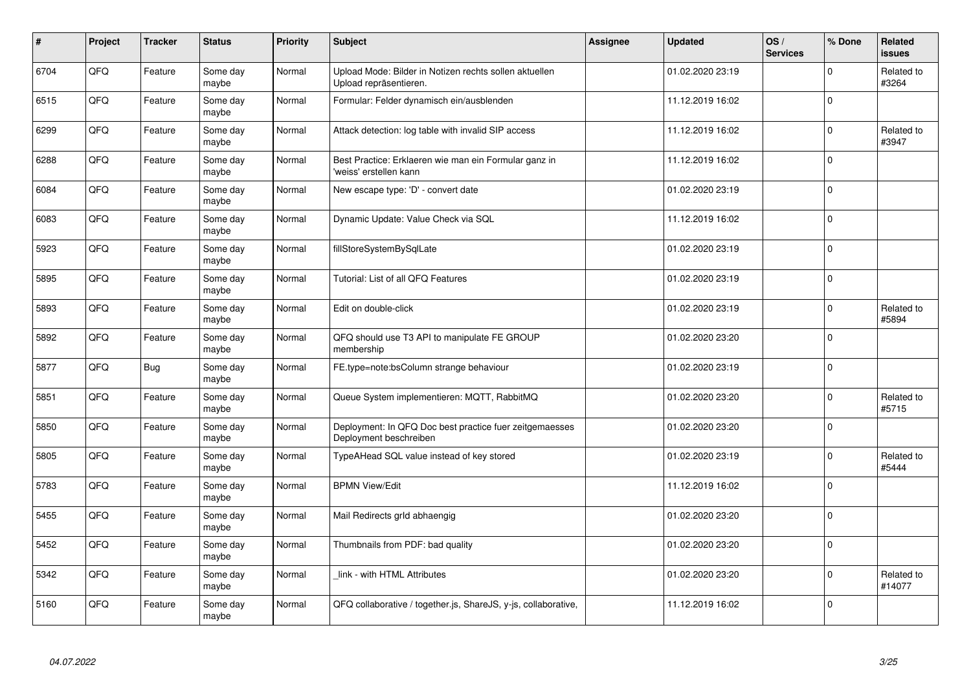| $\vert$ # | Project | <b>Tracker</b> | <b>Status</b>     | <b>Priority</b> | <b>Subject</b>                                                                    | Assignee | <b>Updated</b>   | OS/<br><b>Services</b> | % Done      | Related<br><b>issues</b> |
|-----------|---------|----------------|-------------------|-----------------|-----------------------------------------------------------------------------------|----------|------------------|------------------------|-------------|--------------------------|
| 6704      | QFQ     | Feature        | Some day<br>maybe | Normal          | Upload Mode: Bilder in Notizen rechts sollen aktuellen<br>Upload repräsentieren.  |          | 01.02.2020 23:19 |                        | $\Omega$    | Related to<br>#3264      |
| 6515      | QFQ     | Feature        | Some day<br>maybe | Normal          | Formular: Felder dynamisch ein/ausblenden                                         |          | 11.12.2019 16:02 |                        | $\Omega$    |                          |
| 6299      | QFQ     | Feature        | Some day<br>maybe | Normal          | Attack detection: log table with invalid SIP access                               |          | 11.12.2019 16:02 |                        | $\mathbf 0$ | Related to<br>#3947      |
| 6288      | QFQ     | Feature        | Some day<br>maybe | Normal          | Best Practice: Erklaeren wie man ein Formular ganz in<br>'weiss' erstellen kann   |          | 11.12.2019 16:02 |                        | $\Omega$    |                          |
| 6084      | QFQ     | Feature        | Some day<br>maybe | Normal          | New escape type: 'D' - convert date                                               |          | 01.02.2020 23:19 |                        | $\Omega$    |                          |
| 6083      | QFQ     | Feature        | Some day<br>maybe | Normal          | Dynamic Update: Value Check via SQL                                               |          | 11.12.2019 16:02 |                        | $\Omega$    |                          |
| 5923      | QFQ     | Feature        | Some day<br>maybe | Normal          | fillStoreSystemBySqlLate                                                          |          | 01.02.2020 23:19 |                        | $\mathbf 0$ |                          |
| 5895      | QFQ     | Feature        | Some day<br>maybe | Normal          | Tutorial: List of all QFQ Features                                                |          | 01.02.2020 23:19 |                        | $\Omega$    |                          |
| 5893      | QFQ     | Feature        | Some day<br>maybe | Normal          | Edit on double-click                                                              |          | 01.02.2020 23:19 |                        | $\Omega$    | Related to<br>#5894      |
| 5892      | QFQ     | Feature        | Some day<br>maybe | Normal          | QFQ should use T3 API to manipulate FE GROUP<br>membership                        |          | 01.02.2020 23:20 |                        | $\Omega$    |                          |
| 5877      | QFQ     | <b>Bug</b>     | Some day<br>maybe | Normal          | FE.type=note:bsColumn strange behaviour                                           |          | 01.02.2020 23:19 |                        | $\Omega$    |                          |
| 5851      | QFQ     | Feature        | Some day<br>maybe | Normal          | Queue System implementieren: MQTT, RabbitMQ                                       |          | 01.02.2020 23:20 |                        | $\Omega$    | Related to<br>#5715      |
| 5850      | QFQ     | Feature        | Some day<br>maybe | Normal          | Deployment: In QFQ Doc best practice fuer zeitgemaesses<br>Deployment beschreiben |          | 01.02.2020 23:20 |                        | $\mathbf 0$ |                          |
| 5805      | QFQ     | Feature        | Some day<br>maybe | Normal          | TypeAHead SQL value instead of key stored                                         |          | 01.02.2020 23:19 |                        | 0           | Related to<br>#5444      |
| 5783      | QFQ     | Feature        | Some day<br>maybe | Normal          | <b>BPMN View/Edit</b>                                                             |          | 11.12.2019 16:02 |                        | $\Omega$    |                          |
| 5455      | QFQ     | Feature        | Some day<br>maybe | Normal          | Mail Redirects grld abhaengig                                                     |          | 01.02.2020 23:20 |                        | $\Omega$    |                          |
| 5452      | QFQ     | Feature        | Some day<br>maybe | Normal          | Thumbnails from PDF: bad quality                                                  |          | 01.02.2020 23:20 |                        | $\Omega$    |                          |
| 5342      | QFQ     | Feature        | Some day<br>maybe | Normal          | link - with HTML Attributes                                                       |          | 01.02.2020 23:20 |                        | $\mathbf 0$ | Related to<br>#14077     |
| 5160      | QFQ     | Feature        | Some day<br>maybe | Normal          | QFQ collaborative / together.js, ShareJS, y-js, collaborative,                    |          | 11.12.2019 16:02 |                        | $\Omega$    |                          |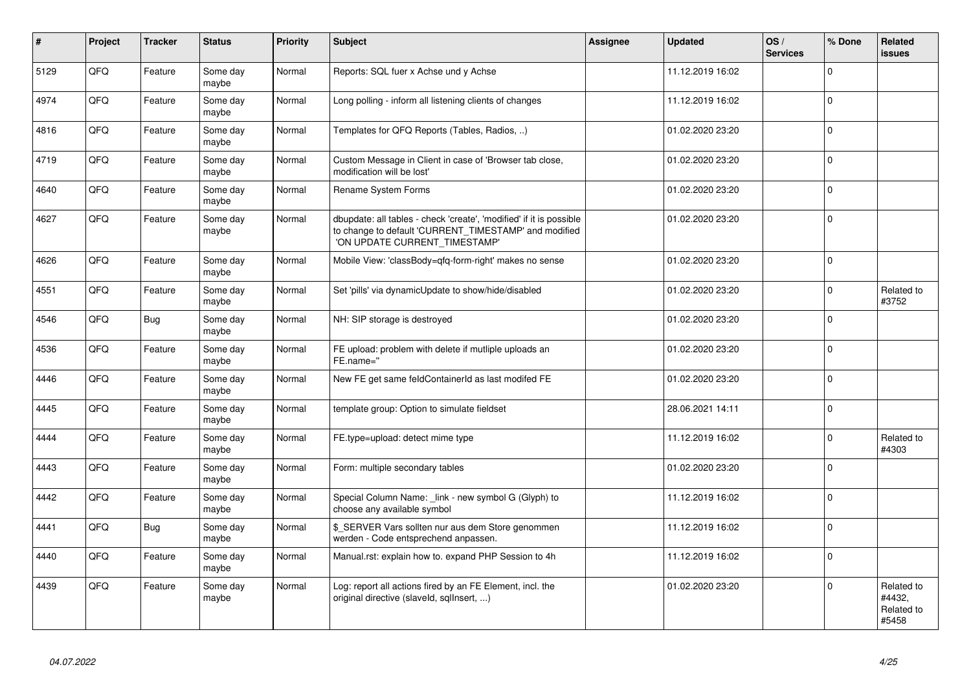| #    | Project | <b>Tracker</b> | <b>Status</b>     | Priority | <b>Subject</b>                                                                                                                                                | <b>Assignee</b> | <b>Updated</b>   | OS/<br><b>Services</b> | % Done       | Related<br><b>issues</b>                    |
|------|---------|----------------|-------------------|----------|---------------------------------------------------------------------------------------------------------------------------------------------------------------|-----------------|------------------|------------------------|--------------|---------------------------------------------|
| 5129 | QFQ     | Feature        | Some day<br>maybe | Normal   | Reports: SQL fuer x Achse und y Achse                                                                                                                         |                 | 11.12.2019 16:02 |                        | $\mathbf{0}$ |                                             |
| 4974 | QFQ     | Feature        | Some day<br>maybe | Normal   | Long polling - inform all listening clients of changes                                                                                                        |                 | 11.12.2019 16:02 |                        | $\mathbf{0}$ |                                             |
| 4816 | QFQ     | Feature        | Some day<br>maybe | Normal   | Templates for QFQ Reports (Tables, Radios, )                                                                                                                  |                 | 01.02.2020 23:20 |                        | $\mathbf 0$  |                                             |
| 4719 | QFQ     | Feature        | Some day<br>maybe | Normal   | Custom Message in Client in case of 'Browser tab close,<br>modification will be lost'                                                                         |                 | 01.02.2020 23:20 |                        | $\Omega$     |                                             |
| 4640 | QFQ     | Feature        | Some day<br>maybe | Normal   | Rename System Forms                                                                                                                                           |                 | 01.02.2020 23:20 |                        | $\Omega$     |                                             |
| 4627 | QFQ     | Feature        | Some day<br>maybe | Normal   | dbupdate: all tables - check 'create', 'modified' if it is possible<br>to change to default 'CURRENT_TIMESTAMP' and modified<br>'ON UPDATE CURRENT_TIMESTAMP' |                 | 01.02.2020 23:20 |                        | $\Omega$     |                                             |
| 4626 | QFQ     | Feature        | Some day<br>maybe | Normal   | Mobile View: 'classBody=qfq-form-right' makes no sense                                                                                                        |                 | 01.02.2020 23:20 |                        | $\mathbf{0}$ |                                             |
| 4551 | QFQ     | Feature        | Some day<br>maybe | Normal   | Set 'pills' via dynamicUpdate to show/hide/disabled                                                                                                           |                 | 01.02.2020 23:20 |                        | $\mathbf{0}$ | Related to<br>#3752                         |
| 4546 | QFQ     | Bug            | Some day<br>maybe | Normal   | NH: SIP storage is destroyed                                                                                                                                  |                 | 01.02.2020 23:20 |                        | $\mathbf{0}$ |                                             |
| 4536 | QFQ     | Feature        | Some day<br>maybe | Normal   | FE upload: problem with delete if mutliple uploads an<br>FE.name="                                                                                            |                 | 01.02.2020 23:20 |                        | $\mathbf{0}$ |                                             |
| 4446 | QFQ     | Feature        | Some day<br>maybe | Normal   | New FE get same feldContainerId as last modifed FE                                                                                                            |                 | 01.02.2020 23:20 |                        | $\Omega$     |                                             |
| 4445 | QFQ     | Feature        | Some day<br>maybe | Normal   | template group: Option to simulate fieldset                                                                                                                   |                 | 28.06.2021 14:11 |                        | $\Omega$     |                                             |
| 4444 | QFQ     | Feature        | Some day<br>maybe | Normal   | FE.type=upload: detect mime type                                                                                                                              |                 | 11.12.2019 16:02 |                        | $\Omega$     | Related to<br>#4303                         |
| 4443 | QFQ     | Feature        | Some day<br>maybe | Normal   | Form: multiple secondary tables                                                                                                                               |                 | 01.02.2020 23:20 |                        | $\Omega$     |                                             |
| 4442 | QFQ     | Feature        | Some day<br>maybe | Normal   | Special Column Name: _link - new symbol G (Glyph) to<br>choose any available symbol                                                                           |                 | 11.12.2019 16:02 |                        | $\Omega$     |                                             |
| 4441 | QFQ     | Bug            | Some day<br>maybe | Normal   | \$_SERVER Vars sollten nur aus dem Store genommen<br>werden - Code entsprechend anpassen.                                                                     |                 | 11.12.2019 16:02 |                        | $\Omega$     |                                             |
| 4440 | QFQ     | Feature        | Some day<br>maybe | Normal   | Manual.rst: explain how to. expand PHP Session to 4h                                                                                                          |                 | 11.12.2019 16:02 |                        | $\mathbf 0$  |                                             |
| 4439 | QFQ     | Feature        | Some day<br>maybe | Normal   | Log: report all actions fired by an FE Element, incl. the<br>original directive (slaveld, sqllnsert, )                                                        |                 | 01.02.2020 23:20 |                        | $\Omega$     | Related to<br>#4432,<br>Related to<br>#5458 |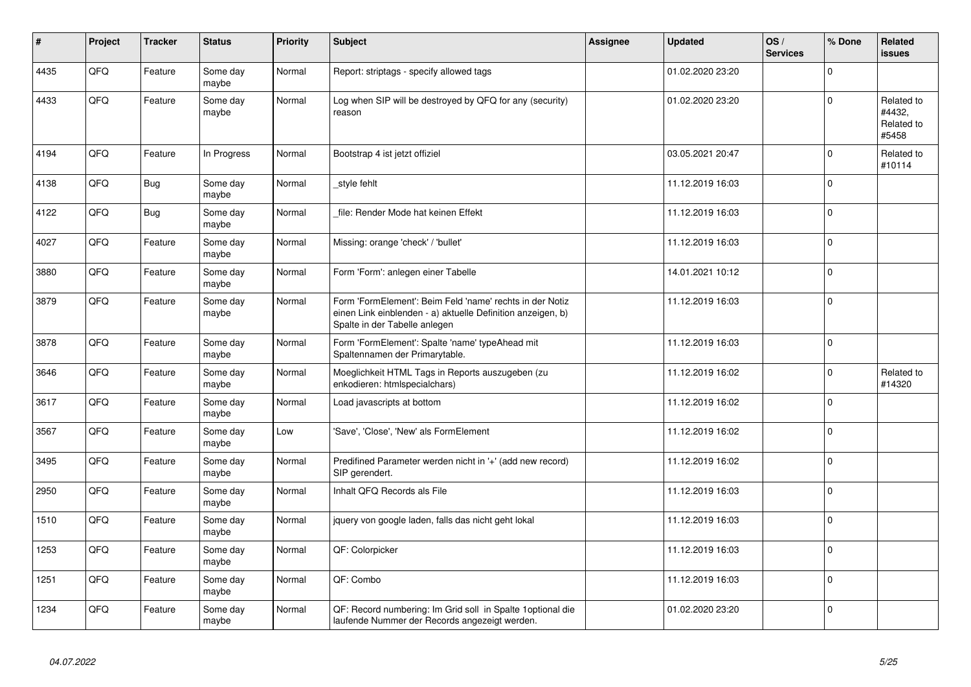| ∦    | Project | <b>Tracker</b> | <b>Status</b>     | <b>Priority</b> | <b>Subject</b>                                                                                                                                           | Assignee | <b>Updated</b>   | OS/<br><b>Services</b> | % Done      | Related<br><b>issues</b>                    |
|------|---------|----------------|-------------------|-----------------|----------------------------------------------------------------------------------------------------------------------------------------------------------|----------|------------------|------------------------|-------------|---------------------------------------------|
| 4435 | QFQ     | Feature        | Some day<br>maybe | Normal          | Report: striptags - specify allowed tags                                                                                                                 |          | 01.02.2020 23:20 |                        | $\Omega$    |                                             |
| 4433 | QFQ     | Feature        | Some day<br>maybe | Normal          | Log when SIP will be destroyed by QFQ for any (security)<br>reason                                                                                       |          | 01.02.2020 23:20 |                        | $\mathbf 0$ | Related to<br>#4432,<br>Related to<br>#5458 |
| 4194 | QFQ     | Feature        | In Progress       | Normal          | Bootstrap 4 ist jetzt offiziel                                                                                                                           |          | 03.05.2021 20:47 |                        | $\Omega$    | Related to<br>#10114                        |
| 4138 | QFQ     | <b>Bug</b>     | Some day<br>maybe | Normal          | style fehlt                                                                                                                                              |          | 11.12.2019 16:03 |                        | $\Omega$    |                                             |
| 4122 | QFQ     | Bug            | Some day<br>maybe | Normal          | file: Render Mode hat keinen Effekt                                                                                                                      |          | 11.12.2019 16:03 |                        | $\Omega$    |                                             |
| 4027 | QFQ     | Feature        | Some day<br>maybe | Normal          | Missing: orange 'check' / 'bullet'                                                                                                                       |          | 11.12.2019 16:03 |                        | $\Omega$    |                                             |
| 3880 | QFQ     | Feature        | Some day<br>maybe | Normal          | Form 'Form': anlegen einer Tabelle                                                                                                                       |          | 14.01.2021 10:12 |                        | $\mathbf 0$ |                                             |
| 3879 | QFQ     | Feature        | Some day<br>maybe | Normal          | Form 'FormElement': Beim Feld 'name' rechts in der Notiz<br>einen Link einblenden - a) aktuelle Definition anzeigen, b)<br>Spalte in der Tabelle anlegen |          | 11.12.2019 16:03 |                        | 0           |                                             |
| 3878 | QFQ     | Feature        | Some day<br>maybe | Normal          | Form 'FormElement': Spalte 'name' typeAhead mit<br>Spaltennamen der Primarytable.                                                                        |          | 11.12.2019 16:03 |                        | $\Omega$    |                                             |
| 3646 | QFQ     | Feature        | Some day<br>maybe | Normal          | Moeglichkeit HTML Tags in Reports auszugeben (zu<br>enkodieren: htmlspecialchars)                                                                        |          | 11.12.2019 16:02 |                        | $\mathbf 0$ | Related to<br>#14320                        |
| 3617 | QFQ     | Feature        | Some day<br>maybe | Normal          | Load javascripts at bottom                                                                                                                               |          | 11.12.2019 16:02 |                        | $\Omega$    |                                             |
| 3567 | QFQ     | Feature        | Some day<br>maybe | Low             | 'Save', 'Close', 'New' als FormElement                                                                                                                   |          | 11.12.2019 16:02 |                        | $\Omega$    |                                             |
| 3495 | QFQ     | Feature        | Some day<br>maybe | Normal          | Predifined Parameter werden nicht in '+' (add new record)<br>SIP gerendert.                                                                              |          | 11.12.2019 16:02 |                        | $\Omega$    |                                             |
| 2950 | QFQ     | Feature        | Some day<br>maybe | Normal          | Inhalt QFQ Records als File                                                                                                                              |          | 11.12.2019 16:03 |                        | $\Omega$    |                                             |
| 1510 | QFQ     | Feature        | Some day<br>maybe | Normal          | jquery von google laden, falls das nicht geht lokal                                                                                                      |          | 11.12.2019 16:03 |                        | $\Omega$    |                                             |
| 1253 | QFQ     | Feature        | Some day<br>maybe | Normal          | QF: Colorpicker                                                                                                                                          |          | 11.12.2019 16:03 |                        | $\mathbf 0$ |                                             |
| 1251 | QFQ     | Feature        | Some day<br>maybe | Normal          | QF: Combo                                                                                                                                                |          | 11.12.2019 16:03 |                        | $\mathbf 0$ |                                             |
| 1234 | QFQ     | Feature        | Some day<br>maybe | Normal          | QF: Record numbering: Im Grid soll in Spalte 1 optional die<br>laufende Nummer der Records angezeigt werden.                                             |          | 01.02.2020 23:20 |                        | $\Omega$    |                                             |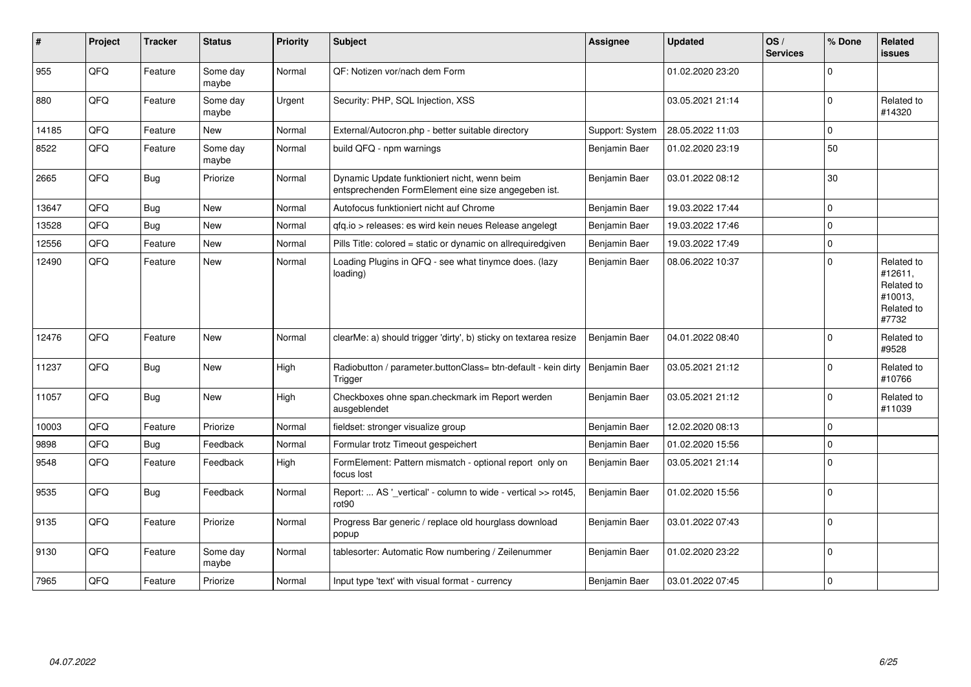| $\vert$ # | Project | <b>Tracker</b> | <b>Status</b>     | <b>Priority</b> | <b>Subject</b>                                                                                      | Assignee        | <b>Updated</b>   | OS/<br><b>Services</b> | % Done      | Related<br>issues                                                     |
|-----------|---------|----------------|-------------------|-----------------|-----------------------------------------------------------------------------------------------------|-----------------|------------------|------------------------|-------------|-----------------------------------------------------------------------|
| 955       | QFQ     | Feature        | Some day<br>maybe | Normal          | QF: Notizen vor/nach dem Form                                                                       |                 | 01.02.2020 23:20 |                        | $\Omega$    |                                                                       |
| 880       | QFQ     | Feature        | Some day<br>maybe | Urgent          | Security: PHP, SQL Injection, XSS                                                                   |                 | 03.05.2021 21:14 |                        | $\Omega$    | Related to<br>#14320                                                  |
| 14185     | QFQ     | Feature        | <b>New</b>        | Normal          | External/Autocron.php - better suitable directory                                                   | Support: System | 28.05.2022 11:03 |                        | $\Omega$    |                                                                       |
| 8522      | QFQ     | Feature        | Some day<br>maybe | Normal          | build QFQ - npm warnings                                                                            | Benjamin Baer   | 01.02.2020 23:19 |                        | 50          |                                                                       |
| 2665      | QFQ     | <b>Bug</b>     | Priorize          | Normal          | Dynamic Update funktioniert nicht, wenn beim<br>entsprechenden FormElement eine size angegeben ist. | Benjamin Baer   | 03.01.2022 08:12 |                        | 30          |                                                                       |
| 13647     | QFQ     | <b>Bug</b>     | <b>New</b>        | Normal          | Autofocus funktioniert nicht auf Chrome                                                             | Benjamin Baer   | 19.03.2022 17:44 |                        | $\mathbf 0$ |                                                                       |
| 13528     | QFQ     | <b>Bug</b>     | <b>New</b>        | Normal          | gfg.io > releases: es wird kein neues Release angelegt                                              | Benjamin Baer   | 19.03.2022 17:46 |                        | $\mathbf 0$ |                                                                       |
| 12556     | QFQ     | Feature        | <b>New</b>        | Normal          | Pills Title: colored = static or dynamic on allrequiredgiven                                        | Benjamin Baer   | 19.03.2022 17:49 |                        | $\mathbf 0$ |                                                                       |
| 12490     | QFQ     | Feature        | <b>New</b>        | Normal          | Loading Plugins in QFQ - see what tinymce does. (lazy<br>loading)                                   | Benjamin Baer   | 08.06.2022 10:37 |                        | $\Omega$    | Related to<br>#12611,<br>Related to<br>#10013,<br>Related to<br>#7732 |
| 12476     | QFQ     | Feature        | <b>New</b>        | Normal          | clearMe: a) should trigger 'dirty', b) sticky on textarea resize                                    | Benjamin Baer   | 04.01.2022 08:40 |                        | $\Omega$    | Related to<br>#9528                                                   |
| 11237     | QFQ     | <b>Bug</b>     | <b>New</b>        | High            | Radiobutton / parameter.buttonClass= btn-default - kein dirty<br>Trigger                            | Benjamin Baer   | 03.05.2021 21:12 |                        | $\Omega$    | Related to<br>#10766                                                  |
| 11057     | QFQ     | <b>Bug</b>     | <b>New</b>        | High            | Checkboxes ohne span.checkmark im Report werden<br>ausgeblendet                                     | Benjamin Baer   | 03.05.2021 21:12 |                        | $\Omega$    | Related to<br>#11039                                                  |
| 10003     | QFQ     | Feature        | Priorize          | Normal          | fieldset: stronger visualize group                                                                  | Benjamin Baer   | 12.02.2020 08:13 |                        | l 0         |                                                                       |
| 9898      | QFQ     | <b>Bug</b>     | Feedback          | Normal          | Formular trotz Timeout gespeichert                                                                  | Benjamin Baer   | 01.02.2020 15:56 |                        | $\Omega$    |                                                                       |
| 9548      | QFQ     | Feature        | Feedback          | High            | FormElement: Pattern mismatch - optional report only on<br>focus lost                               | Benjamin Baer   | 03.05.2021 21:14 |                        | l O         |                                                                       |
| 9535      | QFQ     | <b>Bug</b>     | Feedback          | Normal          | Report:  AS '_vertical' - column to wide - vertical >> rot45,<br>rot <sub>90</sub>                  | Benjamin Baer   | 01.02.2020 15:56 |                        | $\Omega$    |                                                                       |
| 9135      | QFQ     | Feature        | Priorize          | Normal          | Progress Bar generic / replace old hourglass download<br>popup                                      | Benjamin Baer   | 03.01.2022 07:43 |                        | $\Omega$    |                                                                       |
| 9130      | QFQ     | Feature        | Some day<br>maybe | Normal          | tablesorter: Automatic Row numbering / Zeilenummer                                                  | Benjamin Baer   | 01.02.2020 23:22 |                        | $\Omega$    |                                                                       |
| 7965      | QFQ     | Feature        | Priorize          | Normal          | Input type 'text' with visual format - currency                                                     | Benjamin Baer   | 03.01.2022 07:45 |                        | $\Omega$    |                                                                       |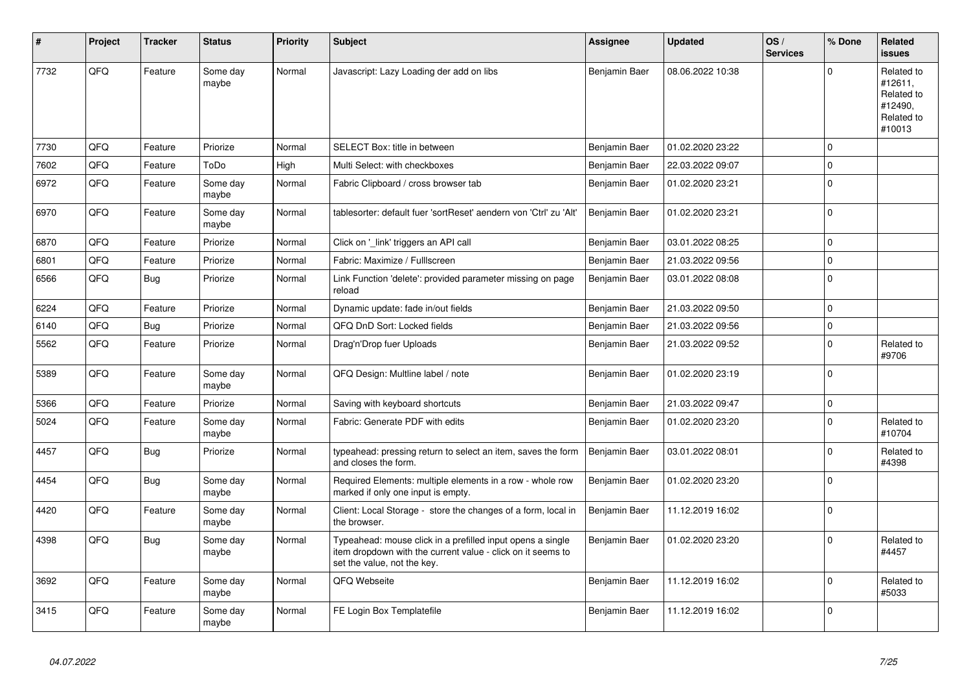| ∦    | Project | <b>Tracker</b> | <b>Status</b>     | <b>Priority</b> | <b>Subject</b>                                                                                                                                           | Assignee      | <b>Updated</b>   | OS/<br><b>Services</b> | % Done      | Related<br><b>issues</b>                                               |
|------|---------|----------------|-------------------|-----------------|----------------------------------------------------------------------------------------------------------------------------------------------------------|---------------|------------------|------------------------|-------------|------------------------------------------------------------------------|
| 7732 | QFQ     | Feature        | Some day<br>maybe | Normal          | Javascript: Lazy Loading der add on libs                                                                                                                 | Benjamin Baer | 08.06.2022 10:38 |                        | $\Omega$    | Related to<br>#12611,<br>Related to<br>#12490,<br>Related to<br>#10013 |
| 7730 | QFQ     | Feature        | Priorize          | Normal          | SELECT Box: title in between                                                                                                                             | Benjamin Baer | 01.02.2020 23:22 |                        | $\mathbf 0$ |                                                                        |
| 7602 | QFQ     | Feature        | ToDo              | High            | Multi Select: with checkboxes                                                                                                                            | Benjamin Baer | 22.03.2022 09:07 |                        | $\Omega$    |                                                                        |
| 6972 | QFQ     | Feature        | Some day<br>maybe | Normal          | Fabric Clipboard / cross browser tab                                                                                                                     | Benjamin Baer | 01.02.2020 23:21 |                        | $\mathbf 0$ |                                                                        |
| 6970 | QFQ     | Feature        | Some day<br>maybe | Normal          | tablesorter: default fuer 'sortReset' aendern von 'Ctrl' zu 'Alt'                                                                                        | Benjamin Baer | 01.02.2020 23:21 |                        | $\Omega$    |                                                                        |
| 6870 | QFQ     | Feature        | Priorize          | Normal          | Click on '_link' triggers an API call                                                                                                                    | Benjamin Baer | 03.01.2022 08:25 |                        | $\Omega$    |                                                                        |
| 6801 | QFQ     | Feature        | Priorize          | Normal          | Fabric: Maximize / FullIscreen                                                                                                                           | Benjamin Baer | 21.03.2022 09:56 |                        | $\mathbf 0$ |                                                                        |
| 6566 | QFQ     | <b>Bug</b>     | Priorize          | Normal          | Link Function 'delete': provided parameter missing on page<br>reload                                                                                     | Benjamin Baer | 03.01.2022 08:08 |                        | $\mathbf 0$ |                                                                        |
| 6224 | QFQ     | Feature        | Priorize          | Normal          | Dynamic update: fade in/out fields                                                                                                                       | Benjamin Baer | 21.03.2022 09:50 |                        | $\mathbf 0$ |                                                                        |
| 6140 | QFQ     | <b>Bug</b>     | Priorize          | Normal          | QFQ DnD Sort: Locked fields                                                                                                                              | Benjamin Baer | 21.03.2022 09:56 |                        | $\Omega$    |                                                                        |
| 5562 | QFQ     | Feature        | Priorize          | Normal          | Drag'n'Drop fuer Uploads                                                                                                                                 | Benjamin Baer | 21.03.2022 09:52 |                        | $\Omega$    | Related to<br>#9706                                                    |
| 5389 | QFQ     | Feature        | Some day<br>maybe | Normal          | QFQ Design: Multline label / note                                                                                                                        | Benjamin Baer | 01.02.2020 23:19 |                        | $\Omega$    |                                                                        |
| 5366 | QFQ     | Feature        | Priorize          | Normal          | Saving with keyboard shortcuts                                                                                                                           | Benjamin Baer | 21.03.2022 09:47 |                        | $\pmb{0}$   |                                                                        |
| 5024 | QFQ     | Feature        | Some day<br>maybe | Normal          | Fabric: Generate PDF with edits                                                                                                                          | Benjamin Baer | 01.02.2020 23:20 |                        | $\Omega$    | Related to<br>#10704                                                   |
| 4457 | QFQ     | Bug            | Priorize          | Normal          | typeahead: pressing return to select an item, saves the form<br>and closes the form.                                                                     | Benjamin Baer | 03.01.2022 08:01 |                        | $\Omega$    | Related to<br>#4398                                                    |
| 4454 | QFQ     | Bug            | Some day<br>maybe | Normal          | Required Elements: multiple elements in a row - whole row<br>marked if only one input is empty.                                                          | Benjamin Baer | 01.02.2020 23:20 |                        | $\Omega$    |                                                                        |
| 4420 | QFQ     | Feature        | Some day<br>maybe | Normal          | Client: Local Storage - store the changes of a form, local in<br>the browser.                                                                            | Benjamin Baer | 11.12.2019 16:02 |                        | $\mathbf 0$ |                                                                        |
| 4398 | QFQ     | Bug            | Some day<br>maybe | Normal          | Typeahead: mouse click in a prefilled input opens a single<br>item dropdown with the current value - click on it seems to<br>set the value, not the key. | Benjamin Baer | 01.02.2020 23:20 |                        | $\Omega$    | Related to<br>#4457                                                    |
| 3692 | QFQ     | Feature        | Some day<br>maybe | Normal          | QFQ Webseite                                                                                                                                             | Benjamin Baer | 11.12.2019 16:02 |                        | $\Omega$    | Related to<br>#5033                                                    |
| 3415 | QFQ     | Feature        | Some day<br>maybe | Normal          | FE Login Box Templatefile                                                                                                                                | Benjamin Baer | 11.12.2019 16:02 |                        | $\Omega$    |                                                                        |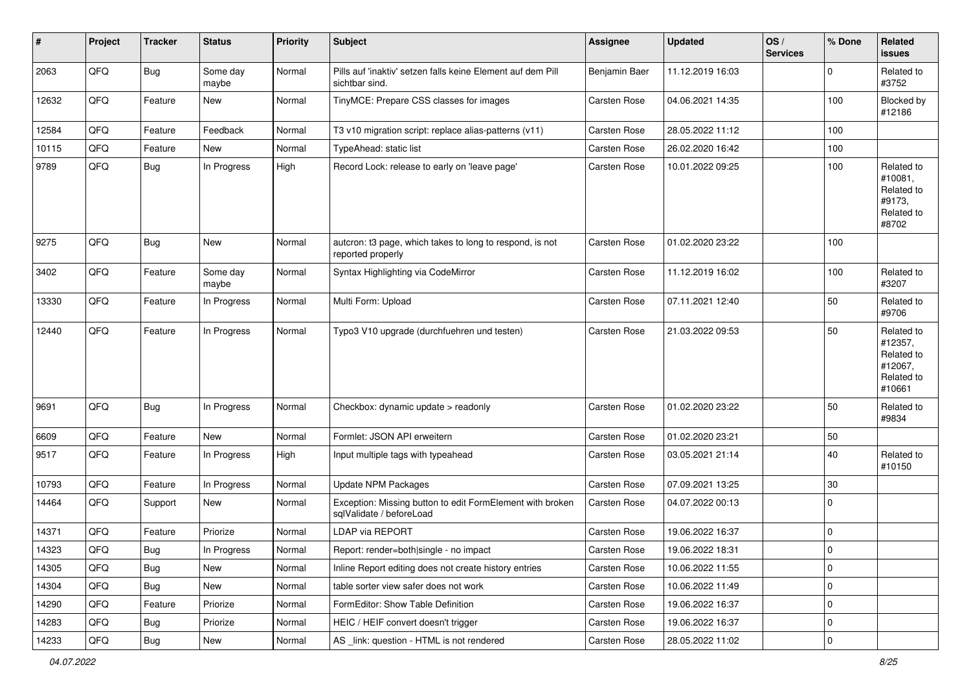| #     | Project | <b>Tracker</b> | <b>Status</b>     | <b>Priority</b> | <b>Subject</b>                                                                        | Assignee            | <b>Updated</b>   | OS/<br><b>Services</b> | % Done      | Related<br><b>issues</b>                                               |
|-------|---------|----------------|-------------------|-----------------|---------------------------------------------------------------------------------------|---------------------|------------------|------------------------|-------------|------------------------------------------------------------------------|
| 2063  | QFQ     | Bug            | Some day<br>maybe | Normal          | Pills auf 'inaktiv' setzen falls keine Element auf dem Pill<br>sichtbar sind.         | Benjamin Baer       | 11.12.2019 16:03 |                        | $\mathbf 0$ | Related to<br>#3752                                                    |
| 12632 | QFQ     | Feature        | New               | Normal          | TinyMCE: Prepare CSS classes for images                                               | Carsten Rose        | 04.06.2021 14:35 |                        | 100         | Blocked by<br>#12186                                                   |
| 12584 | QFQ     | Feature        | Feedback          | Normal          | T3 v10 migration script: replace alias-patterns (v11)                                 | Carsten Rose        | 28.05.2022 11:12 |                        | 100         |                                                                        |
| 10115 | QFQ     | Feature        | New               | Normal          | TypeAhead: static list                                                                | Carsten Rose        | 26.02.2020 16:42 |                        | 100         |                                                                        |
| 9789  | QFQ     | Bug            | In Progress       | High            | Record Lock: release to early on 'leave page'                                         | Carsten Rose        | 10.01.2022 09:25 |                        | 100         | Related to<br>#10081,<br>Related to<br>#9173,<br>Related to<br>#8702   |
| 9275  | QFQ     | Bug            | New               | Normal          | autcron: t3 page, which takes to long to respond, is not<br>reported properly         | <b>Carsten Rose</b> | 01.02.2020 23:22 |                        | 100         |                                                                        |
| 3402  | QFQ     | Feature        | Some day<br>maybe | Normal          | Syntax Highlighting via CodeMirror                                                    | Carsten Rose        | 11.12.2019 16:02 |                        | 100         | Related to<br>#3207                                                    |
| 13330 | QFQ     | Feature        | In Progress       | Normal          | Multi Form: Upload                                                                    | Carsten Rose        | 07.11.2021 12:40 |                        | 50          | Related to<br>#9706                                                    |
| 12440 | QFQ     | Feature        | In Progress       | Normal          | Typo3 V10 upgrade (durchfuehren und testen)                                           | Carsten Rose        | 21.03.2022 09:53 |                        | 50          | Related to<br>#12357,<br>Related to<br>#12067,<br>Related to<br>#10661 |
| 9691  | QFQ     | <b>Bug</b>     | In Progress       | Normal          | Checkbox: dynamic update > readonly                                                   | Carsten Rose        | 01.02.2020 23:22 |                        | 50          | Related to<br>#9834                                                    |
| 6609  | QFQ     | Feature        | New               | Normal          | Formlet: JSON API erweitern                                                           | Carsten Rose        | 01.02.2020 23:21 |                        | 50          |                                                                        |
| 9517  | QFQ     | Feature        | In Progress       | High            | Input multiple tags with typeahead                                                    | Carsten Rose        | 03.05.2021 21:14 |                        | 40          | Related to<br>#10150                                                   |
| 10793 | QFQ     | Feature        | In Progress       | Normal          | Update NPM Packages                                                                   | Carsten Rose        | 07.09.2021 13:25 |                        | 30          |                                                                        |
| 14464 | QFQ     | Support        | New               | Normal          | Exception: Missing button to edit FormElement with broken<br>sqlValidate / beforeLoad | <b>Carsten Rose</b> | 04.07.2022 00:13 |                        | $\mathbf 0$ |                                                                        |
| 14371 | QFQ     | Feature        | Priorize          | Normal          | <b>LDAP via REPORT</b>                                                                | Carsten Rose        | 19.06.2022 16:37 |                        | $\mathbf 0$ |                                                                        |
| 14323 | QFQ     | Bug            | In Progress       | Normal          | Report: render=both single - no impact                                                | Carsten Rose        | 19.06.2022 18:31 |                        | $\pmb{0}$   |                                                                        |
| 14305 | QFQ     | <b>Bug</b>     | New               | Normal          | Inline Report editing does not create history entries                                 | Carsten Rose        | 10.06.2022 11:55 |                        | $\mathbf 0$ |                                                                        |
| 14304 | QFQ     | <b>Bug</b>     | New               | Normal          | table sorter view safer does not work                                                 | Carsten Rose        | 10.06.2022 11:49 |                        | $\mathbf 0$ |                                                                        |
| 14290 | QFQ     | Feature        | Priorize          | Normal          | FormEditor: Show Table Definition                                                     | Carsten Rose        | 19.06.2022 16:37 |                        | $\mathbf 0$ |                                                                        |
| 14283 | QFQ     | <b>Bug</b>     | Priorize          | Normal          | HEIC / HEIF convert doesn't trigger                                                   | Carsten Rose        | 19.06.2022 16:37 |                        | 0           |                                                                        |
| 14233 | QFG     | <b>Bug</b>     | New               | Normal          | AS _link: question - HTML is not rendered                                             | Carsten Rose        | 28.05.2022 11:02 |                        | $\mathbf 0$ |                                                                        |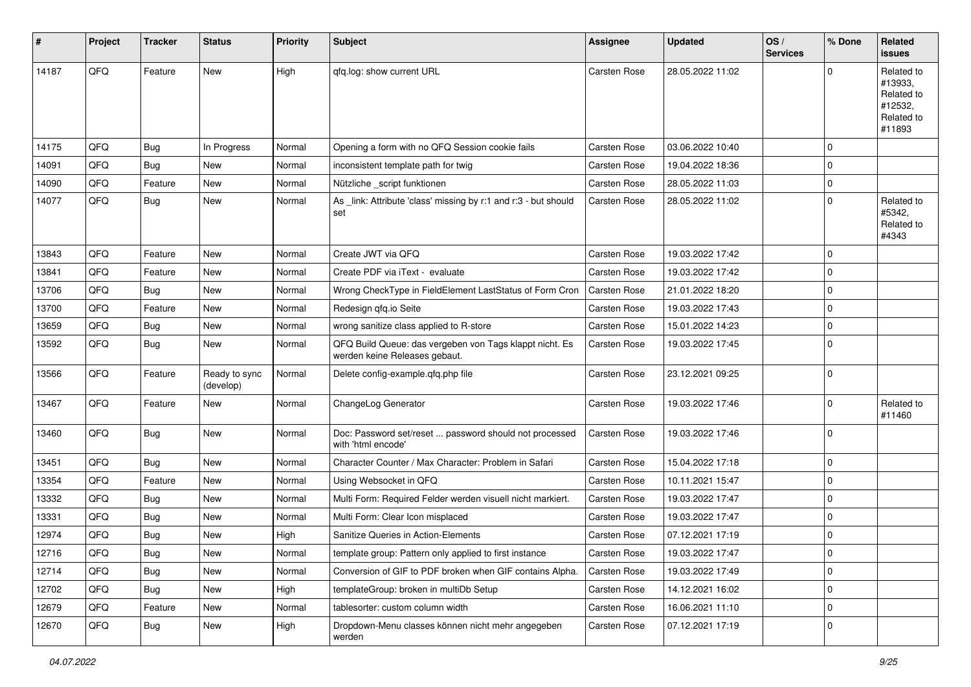| #     | Project | <b>Tracker</b> | <b>Status</b>              | <b>Priority</b> | <b>Subject</b>                                                                           | Assignee            | <b>Updated</b>   | OS/<br><b>Services</b> | % Done   | Related<br><b>issues</b>                                               |
|-------|---------|----------------|----------------------------|-----------------|------------------------------------------------------------------------------------------|---------------------|------------------|------------------------|----------|------------------------------------------------------------------------|
| 14187 | QFQ     | Feature        | New                        | High            | qfq.log: show current URL                                                                | <b>Carsten Rose</b> | 28.05.2022 11:02 |                        | $\Omega$ | Related to<br>#13933,<br>Related to<br>#12532,<br>Related to<br>#11893 |
| 14175 | QFQ     | <b>Bug</b>     | In Progress                | Normal          | Opening a form with no QFQ Session cookie fails                                          | Carsten Rose        | 03.06.2022 10:40 |                        | 0        |                                                                        |
| 14091 | QFQ     | <b>Bug</b>     | New                        | Normal          | inconsistent template path for twig                                                      | Carsten Rose        | 19.04.2022 18:36 |                        | 0        |                                                                        |
| 14090 | QFQ     | Feature        | New                        | Normal          | Nützliche _script funktionen                                                             | Carsten Rose        | 28.05.2022 11:03 |                        | 0        |                                                                        |
| 14077 | QFQ     | Bug            | New                        | Normal          | As _link: Attribute 'class' missing by r:1 and r:3 - but should<br>set                   | Carsten Rose        | 28.05.2022 11:02 |                        | 0        | Related to<br>#5342.<br>Related to<br>#4343                            |
| 13843 | QFQ     | Feature        | New                        | Normal          | Create JWT via QFQ                                                                       | Carsten Rose        | 19.03.2022 17:42 |                        | 0        |                                                                        |
| 13841 | QFQ     | Feature        | <b>New</b>                 | Normal          | Create PDF via iText - evaluate                                                          | Carsten Rose        | 19.03.2022 17:42 |                        | 0        |                                                                        |
| 13706 | QFQ     | <b>Bug</b>     | New                        | Normal          | Wrong CheckType in FieldElement LastStatus of Form Cron                                  | <b>Carsten Rose</b> | 21.01.2022 18:20 |                        | 0        |                                                                        |
| 13700 | QFQ     | Feature        | New                        | Normal          | Redesign qfq.io Seite                                                                    | Carsten Rose        | 19.03.2022 17:43 |                        | 0        |                                                                        |
| 13659 | QFQ     | <b>Bug</b>     | New                        | Normal          | wrong sanitize class applied to R-store                                                  | Carsten Rose        | 15.01.2022 14:23 |                        | 0        |                                                                        |
| 13592 | QFQ     | <b>Bug</b>     | New                        | Normal          | QFQ Build Queue: das vergeben von Tags klappt nicht. Es<br>werden keine Releases gebaut. | Carsten Rose        | 19.03.2022 17:45 |                        | 0        |                                                                        |
| 13566 | QFQ     | Feature        | Ready to sync<br>(develop) | Normal          | Delete config-example.qfq.php file                                                       | Carsten Rose        | 23.12.2021 09:25 |                        | 0        |                                                                        |
| 13467 | QFQ     | Feature        | New                        | Normal          | ChangeLog Generator                                                                      | Carsten Rose        | 19.03.2022 17:46 |                        | 0        | Related to<br>#11460                                                   |
| 13460 | QFQ     | <b>Bug</b>     | New                        | Normal          | Doc: Password set/reset  password should not processed<br>with 'html encode'             | Carsten Rose        | 19.03.2022 17:46 |                        | 0        |                                                                        |
| 13451 | QFQ     | <b>Bug</b>     | New                        | Normal          | Character Counter / Max Character: Problem in Safari                                     | Carsten Rose        | 15.04.2022 17:18 |                        | 0        |                                                                        |
| 13354 | QFQ     | Feature        | New                        | Normal          | Using Websocket in QFQ                                                                   | Carsten Rose        | 10.11.2021 15:47 |                        | 0        |                                                                        |
| 13332 | QFQ     | Bug            | New                        | Normal          | Multi Form: Required Felder werden visuell nicht markiert.                               | Carsten Rose        | 19.03.2022 17:47 |                        | 0        |                                                                        |
| 13331 | QFQ     | <b>Bug</b>     | New                        | Normal          | Multi Form: Clear Icon misplaced                                                         | Carsten Rose        | 19.03.2022 17:47 |                        | 0        |                                                                        |
| 12974 | QFQ     | <b>Bug</b>     | New                        | High            | Sanitize Queries in Action-Elements                                                      | Carsten Rose        | 07.12.2021 17:19 |                        | 0        |                                                                        |
| 12716 | QFQ     | <b>Bug</b>     | New                        | Normal          | template group: Pattern only applied to first instance                                   | Carsten Rose        | 19.03.2022 17:47 |                        | 0        |                                                                        |
| 12714 | QFQ     | <b>Bug</b>     | New                        | Normal          | Conversion of GIF to PDF broken when GIF contains Alpha.                                 | Carsten Rose        | 19.03.2022 17:49 |                        | 0        |                                                                        |
| 12702 | QFQ     | <b>Bug</b>     | New                        | High            | templateGroup: broken in multiDb Setup                                                   | Carsten Rose        | 14.12.2021 16:02 |                        | 0        |                                                                        |
| 12679 | QFQ     | Feature        | New                        | Normal          | tablesorter: custom column width                                                         | Carsten Rose        | 16.06.2021 11:10 |                        | 0        |                                                                        |
| 12670 | QFQ     | Bug            | New                        | High            | Dropdown-Menu classes können nicht mehr angegeben<br>werden                              | Carsten Rose        | 07.12.2021 17:19 |                        | 0        |                                                                        |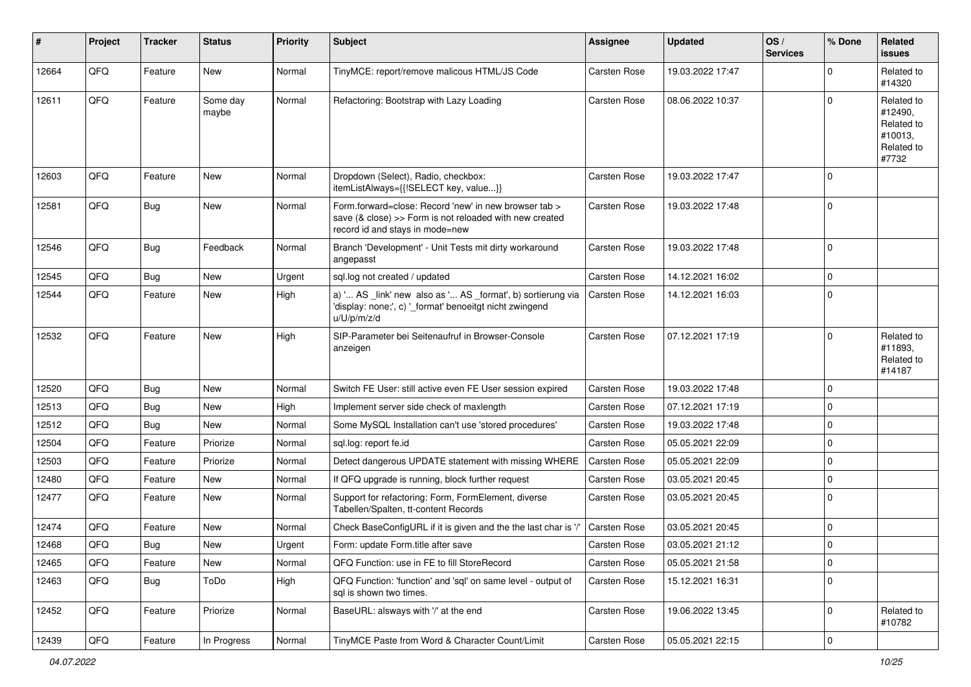| #     | Project | <b>Tracker</b> | <b>Status</b>     | <b>Priority</b> | Subject                                                                                                                                             | Assignee            | <b>Updated</b>   | OS/<br><b>Services</b> | % Done      | Related<br><b>issues</b>                                              |
|-------|---------|----------------|-------------------|-----------------|-----------------------------------------------------------------------------------------------------------------------------------------------------|---------------------|------------------|------------------------|-------------|-----------------------------------------------------------------------|
| 12664 | QFQ     | Feature        | <b>New</b>        | Normal          | TinyMCE: report/remove malicous HTML/JS Code                                                                                                        | <b>Carsten Rose</b> | 19.03.2022 17:47 |                        | $\Omega$    | Related to<br>#14320                                                  |
| 12611 | QFQ     | Feature        | Some day<br>maybe | Normal          | Refactoring: Bootstrap with Lazy Loading                                                                                                            | Carsten Rose        | 08.06.2022 10:37 |                        | $\Omega$    | Related to<br>#12490,<br>Related to<br>#10013,<br>Related to<br>#7732 |
| 12603 | QFQ     | Feature        | <b>New</b>        | Normal          | Dropdown (Select), Radio, checkbox:<br>itemListAlways={{!SELECT key, value}}                                                                        | Carsten Rose        | 19.03.2022 17:47 |                        | $\mathbf 0$ |                                                                       |
| 12581 | QFQ     | <b>Bug</b>     | New               | Normal          | Form.forward=close: Record 'new' in new browser tab ><br>save (& close) >> Form is not reloaded with new created<br>record id and stays in mode=new | Carsten Rose        | 19.03.2022 17:48 |                        | $\Omega$    |                                                                       |
| 12546 | QFQ     | <b>Bug</b>     | Feedback          | Normal          | Branch 'Development' - Unit Tests mit dirty workaround<br>angepasst                                                                                 | Carsten Rose        | 19.03.2022 17:48 |                        | $\Omega$    |                                                                       |
| 12545 | QFQ     | Bug            | New               | Urgent          | sql.log not created / updated                                                                                                                       | Carsten Rose        | 14.12.2021 16:02 |                        | $\mathbf 0$ |                                                                       |
| 12544 | QFQ     | Feature        | New               | High            | a) ' AS _link' new also as ' AS _format', b) sortierung via<br>'display: none;', c) '_format' benoeitgt nicht zwingend<br>u/U/p/m/z/d               | <b>Carsten Rose</b> | 14.12.2021 16:03 |                        | 0           |                                                                       |
| 12532 | QFQ     | Feature        | New               | High            | SIP-Parameter bei Seitenaufruf in Browser-Console<br>anzeigen                                                                                       | Carsten Rose        | 07.12.2021 17:19 |                        | $\mathbf 0$ | Related to<br>#11893,<br>Related to<br>#14187                         |
| 12520 | QFQ     | Bug            | New               | Normal          | Switch FE User: still active even FE User session expired                                                                                           | Carsten Rose        | 19.03.2022 17:48 |                        | $\mathbf 0$ |                                                                       |
| 12513 | QFQ     | Bug            | New               | High            | Implement server side check of maxlength                                                                                                            | Carsten Rose        | 07.12.2021 17:19 |                        | $\Omega$    |                                                                       |
| 12512 | QFQ     | Bug            | New               | Normal          | Some MySQL Installation can't use 'stored procedures'                                                                                               | Carsten Rose        | 19.03.2022 17:48 |                        | $\mathbf 0$ |                                                                       |
| 12504 | QFQ     | Feature        | Priorize          | Normal          | sql.log: report fe.id                                                                                                                               | Carsten Rose        | 05.05.2021 22:09 |                        | $\mathbf 0$ |                                                                       |
| 12503 | QFQ     | Feature        | Priorize          | Normal          | Detect dangerous UPDATE statement with missing WHERE                                                                                                | Carsten Rose        | 05.05.2021 22:09 |                        | $\mathbf 0$ |                                                                       |
| 12480 | QFQ     | Feature        | New               | Normal          | If QFQ upgrade is running, block further request                                                                                                    | Carsten Rose        | 03.05.2021 20:45 |                        | $\mathbf 0$ |                                                                       |
| 12477 | QFQ     | Feature        | New               | Normal          | Support for refactoring: Form, FormElement, diverse<br>Tabellen/Spalten, tt-content Records                                                         | Carsten Rose        | 03.05.2021 20:45 |                        | $\Omega$    |                                                                       |
| 12474 | QFQ     | Feature        | New               | Normal          | Check BaseConfigURL if it is given and the the last char is '/'                                                                                     | Carsten Rose        | 03.05.2021 20:45 |                        | $\mathbf 0$ |                                                                       |
| 12468 | QFQ     | <b>Bug</b>     | New               | Urgent          | Form: update Form.title after save                                                                                                                  | Carsten Rose        | 03.05.2021 21:12 |                        | $\Omega$    |                                                                       |
| 12465 | QFQ     | Feature        | New               | Normal          | QFQ Function: use in FE to fill StoreRecord                                                                                                         | Carsten Rose        | 05.05.2021 21:58 |                        | 0           |                                                                       |
| 12463 | QFQ     | <b>Bug</b>     | ToDo              | High            | QFQ Function: 'function' and 'sql' on same level - output of<br>sql is shown two times.                                                             | Carsten Rose        | 15.12.2021 16:31 |                        | $\mathbf 0$ |                                                                       |
| 12452 | QFQ     | Feature        | Priorize          | Normal          | BaseURL: alsways with '/' at the end                                                                                                                | Carsten Rose        | 19.06.2022 13:45 |                        | $\mathbf 0$ | Related to<br>#10782                                                  |
| 12439 | QFQ     | Feature        | In Progress       | Normal          | TinyMCE Paste from Word & Character Count/Limit                                                                                                     | Carsten Rose        | 05.05.2021 22:15 |                        | 0           |                                                                       |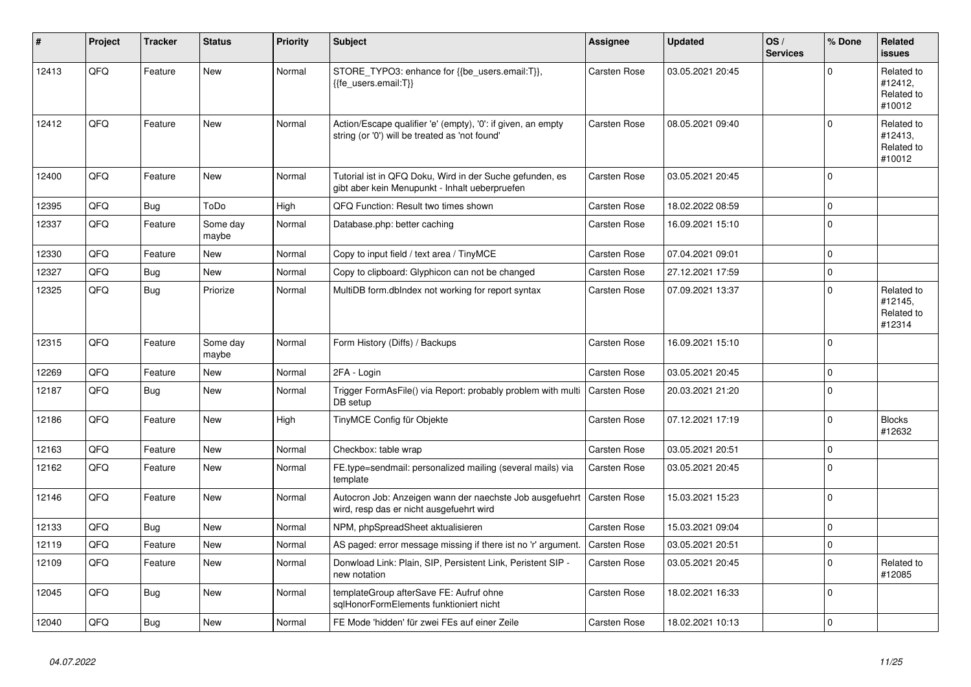| ∦     | Project | <b>Tracker</b> | <b>Status</b>     | <b>Priority</b> | <b>Subject</b>                                                                                                 | Assignee            | <b>Updated</b>   | OS/<br><b>Services</b> | % Done         | Related<br><b>issues</b>                      |
|-------|---------|----------------|-------------------|-----------------|----------------------------------------------------------------------------------------------------------------|---------------------|------------------|------------------------|----------------|-----------------------------------------------|
| 12413 | QFQ     | Feature        | <b>New</b>        | Normal          | STORE_TYPO3: enhance for {{be_users.email:T}},<br>{{fe users.email:T}}                                         | Carsten Rose        | 03.05.2021 20:45 |                        | $\Omega$       | Related to<br>#12412,<br>Related to<br>#10012 |
| 12412 | QFQ     | Feature        | <b>New</b>        | Normal          | Action/Escape qualifier 'e' (empty), '0': if given, an empty<br>string (or '0') will be treated as 'not found' | <b>Carsten Rose</b> | 08.05.2021 09:40 |                        | $\Omega$       | Related to<br>#12413.<br>Related to<br>#10012 |
| 12400 | QFQ     | Feature        | New               | Normal          | Tutorial ist in QFQ Doku, Wird in der Suche gefunden, es<br>gibt aber kein Menupunkt - Inhalt ueberpruefen     | Carsten Rose        | 03.05.2021 20:45 |                        | $\Omega$       |                                               |
| 12395 | QFQ     | Bug            | ToDo              | High            | QFQ Function: Result two times shown                                                                           | <b>Carsten Rose</b> | 18.02.2022 08:59 |                        | $\mathbf 0$    |                                               |
| 12337 | QFQ     | Feature        | Some day<br>maybe | Normal          | Database.php: better caching                                                                                   | <b>Carsten Rose</b> | 16.09.2021 15:10 |                        | $\Omega$       |                                               |
| 12330 | QFQ     | Feature        | <b>New</b>        | Normal          | Copy to input field / text area / TinyMCE                                                                      | <b>Carsten Rose</b> | 07.04.2021 09:01 |                        | $\mathbf 0$    |                                               |
| 12327 | QFQ     | <b>Bug</b>     | <b>New</b>        | Normal          | Copy to clipboard: Glyphicon can not be changed                                                                | Carsten Rose        | 27.12.2021 17:59 |                        | $\overline{0}$ |                                               |
| 12325 | QFQ     | Bug            | Priorize          | Normal          | MultiDB form.dblndex not working for report syntax                                                             | Carsten Rose        | 07.09.2021 13:37 |                        | $\Omega$       | Related to<br>#12145,<br>Related to<br>#12314 |
| 12315 | QFQ     | Feature        | Some day<br>maybe | Normal          | Form History (Diffs) / Backups                                                                                 | <b>Carsten Rose</b> | 16.09.2021 15:10 |                        | $\Omega$       |                                               |
| 12269 | QFQ     | Feature        | <b>New</b>        | Normal          | 2FA - Login                                                                                                    | Carsten Rose        | 03.05.2021 20:45 |                        | $\mathbf 0$    |                                               |
| 12187 | QFQ     | <b>Bug</b>     | <b>New</b>        | Normal          | Trigger FormAsFile() via Report: probably problem with multi<br>DB setup                                       | <b>Carsten Rose</b> | 20.03.2021 21:20 |                        | $\Omega$       |                                               |
| 12186 | QFQ     | Feature        | <b>New</b>        | High            | TinyMCE Config für Objekte                                                                                     | <b>Carsten Rose</b> | 07.12.2021 17:19 |                        | $\mathbf 0$    | <b>Blocks</b><br>#12632                       |
| 12163 | QFQ     | Feature        | <b>New</b>        | Normal          | Checkbox: table wrap                                                                                           | Carsten Rose        | 03.05.2021 20:51 |                        | $\mathbf 0$    |                                               |
| 12162 | QFQ     | Feature        | <b>New</b>        | Normal          | FE.type=sendmail: personalized mailing (several mails) via<br>template                                         | Carsten Rose        | 03.05.2021 20:45 |                        | $\Omega$       |                                               |
| 12146 | QFQ     | Feature        | <b>New</b>        | Normal          | Autocron Job: Anzeigen wann der naechste Job ausgefuehrt<br>wird, resp das er nicht ausgefuehrt wird           | Carsten Rose        | 15.03.2021 15:23 |                        | $\Omega$       |                                               |
| 12133 | QFQ     | Bug            | <b>New</b>        | Normal          | NPM, phpSpreadSheet aktualisieren                                                                              | <b>Carsten Rose</b> | 15.03.2021 09:04 |                        | $\Omega$       |                                               |
| 12119 | QFQ     | Feature        | <b>New</b>        | Normal          | AS paged: error message missing if there ist no 'r' argument.                                                  | <b>Carsten Rose</b> | 03.05.2021 20:51 |                        | $\Omega$       |                                               |
| 12109 | QFQ     | Feature        | <b>New</b>        | Normal          | Donwload Link: Plain, SIP, Persistent Link, Peristent SIP -<br>new notation                                    | Carsten Rose        | 03.05.2021 20:45 |                        | $\Omega$       | Related to<br>#12085                          |
| 12045 | QFQ     | Bug            | <b>New</b>        | Normal          | templateGroup afterSave FE: Aufruf ohne<br>sglHonorFormElements funktioniert nicht                             | Carsten Rose        | 18.02.2021 16:33 |                        | $\Omega$       |                                               |
| 12040 | QFQ     | Bug            | New               | Normal          | FE Mode 'hidden' für zwei FEs auf einer Zeile                                                                  | <b>Carsten Rose</b> | 18.02.2021 10:13 |                        | $\mathbf 0$    |                                               |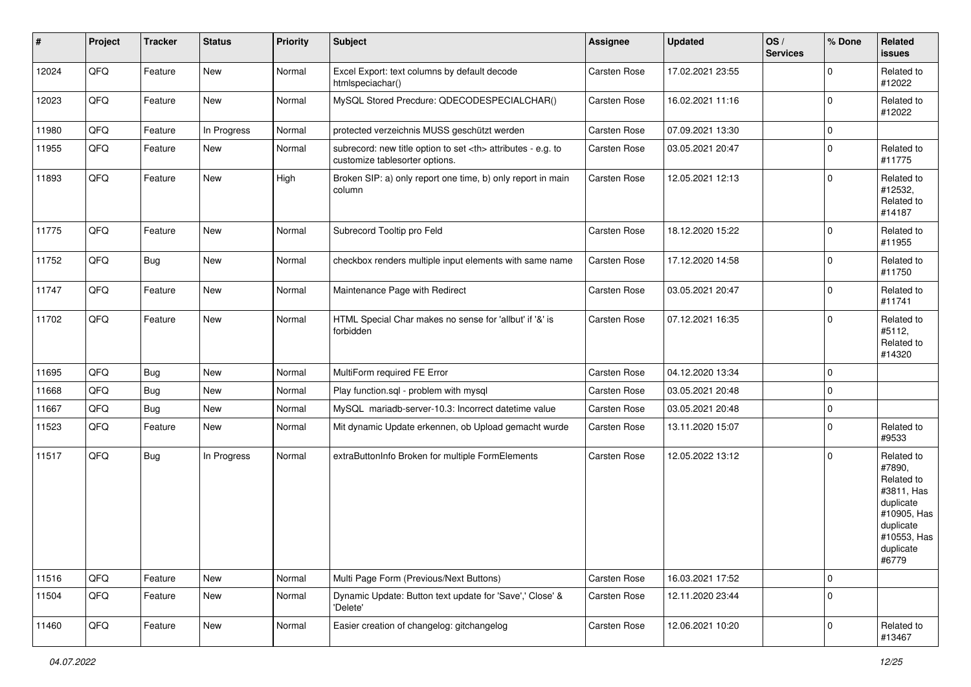| #     | Project | <b>Tracker</b> | <b>Status</b> | <b>Priority</b> | <b>Subject</b>                                                                                       | Assignee                                               | <b>Updated</b>   | OS/<br><b>Services</b> | % Done      | Related<br>issues                                                                                                              |                      |
|-------|---------|----------------|---------------|-----------------|------------------------------------------------------------------------------------------------------|--------------------------------------------------------|------------------|------------------------|-------------|--------------------------------------------------------------------------------------------------------------------------------|----------------------|
| 12024 | QFQ     | Feature        | New           | Normal          | Excel Export: text columns by default decode<br>htmlspeciachar()                                     | Carsten Rose                                           | 17.02.2021 23:55 |                        | $\Omega$    | Related to<br>#12022                                                                                                           |                      |
| 12023 | QFQ     | Feature        | New           | Normal          | MySQL Stored Precdure: QDECODESPECIALCHAR()                                                          | Carsten Rose                                           | 16.02.2021 11:16 |                        | $\mathbf 0$ | Related to<br>#12022                                                                                                           |                      |
| 11980 | QFQ     | Feature        | In Progress   | Normal          | protected verzeichnis MUSS geschützt werden                                                          | Carsten Rose                                           | 07.09.2021 13:30 |                        | $\mathbf 0$ |                                                                                                                                |                      |
| 11955 | QFQ     | Feature        | New           | Normal          | subrecord: new title option to set <th> attributes - e.g. to<br/>customize tablesorter options.</th> | attributes - e.g. to<br>customize tablesorter options. | Carsten Rose     | 03.05.2021 20:47       |             | $\mathbf 0$                                                                                                                    | Related to<br>#11775 |
| 11893 | QFQ     | Feature        | New           | High            | Broken SIP: a) only report one time, b) only report in main<br>column                                | Carsten Rose                                           | 12.05.2021 12:13 |                        | $\mathbf 0$ | Related to<br>#12532,<br>Related to<br>#14187                                                                                  |                      |
| 11775 | QFQ     | Feature        | New           | Normal          | Subrecord Tooltip pro Feld                                                                           | Carsten Rose                                           | 18.12.2020 15:22 |                        | $\mathbf 0$ | Related to<br>#11955                                                                                                           |                      |
| 11752 | QFQ     | <b>Bug</b>     | New           | Normal          | checkbox renders multiple input elements with same name                                              | Carsten Rose                                           | 17.12.2020 14:58 |                        | $\Omega$    | Related to<br>#11750                                                                                                           |                      |
| 11747 | QFQ     | Feature        | New           | Normal          | Maintenance Page with Redirect                                                                       | Carsten Rose                                           | 03.05.2021 20:47 |                        | $\mathbf 0$ | Related to<br>#11741                                                                                                           |                      |
| 11702 | QFQ     | Feature        | New           | Normal          | HTML Special Char makes no sense for 'allbut' if '&' is<br>forbidden                                 | Carsten Rose                                           | 07.12.2021 16:35 |                        | $\Omega$    | Related to<br>#5112,<br>Related to<br>#14320                                                                                   |                      |
| 11695 | QFQ     | <b>Bug</b>     | New           | Normal          | MultiForm required FE Error                                                                          | Carsten Rose                                           | 04.12.2020 13:34 |                        | $\mathbf 0$ |                                                                                                                                |                      |
| 11668 | QFQ     | <b>Bug</b>     | New           | Normal          | Play function.sql - problem with mysql                                                               | Carsten Rose                                           | 03.05.2021 20:48 |                        | $\mathbf 0$ |                                                                                                                                |                      |
| 11667 | QFQ     | Bug            | New           | Normal          | MySQL mariadb-server-10.3: Incorrect datetime value                                                  | Carsten Rose                                           | 03.05.2021 20:48 |                        | $\mathbf 0$ |                                                                                                                                |                      |
| 11523 | QFQ     | Feature        | New           | Normal          | Mit dynamic Update erkennen, ob Upload gemacht wurde                                                 | Carsten Rose                                           | 13.11.2020 15:07 |                        | $\Omega$    | Related to<br>#9533                                                                                                            |                      |
| 11517 | QFQ     | <b>Bug</b>     | In Progress   | Normal          | extraButtonInfo Broken for multiple FormElements                                                     | Carsten Rose                                           | 12.05.2022 13:12 |                        | $\mathbf 0$ | Related to<br>#7890,<br>Related to<br>#3811, Has<br>duplicate<br>#10905, Has<br>duplicate<br>#10553, Has<br>duplicate<br>#6779 |                      |
| 11516 | QFQ     | Feature        | New           | Normal          | Multi Page Form (Previous/Next Buttons)                                                              | Carsten Rose                                           | 16.03.2021 17:52 |                        | $\mathbf 0$ |                                                                                                                                |                      |
| 11504 | QFQ     | Feature        | New           | Normal          | Dynamic Update: Button text update for 'Save',' Close' &<br>'Delete'                                 | Carsten Rose                                           | 12.11.2020 23:44 |                        | $\mathbf 0$ |                                                                                                                                |                      |
| 11460 | QFQ     | Feature        | New           | Normal          | Easier creation of changelog: gitchangelog                                                           | Carsten Rose                                           | 12.06.2021 10:20 |                        | $\mathbf 0$ | Related to<br>#13467                                                                                                           |                      |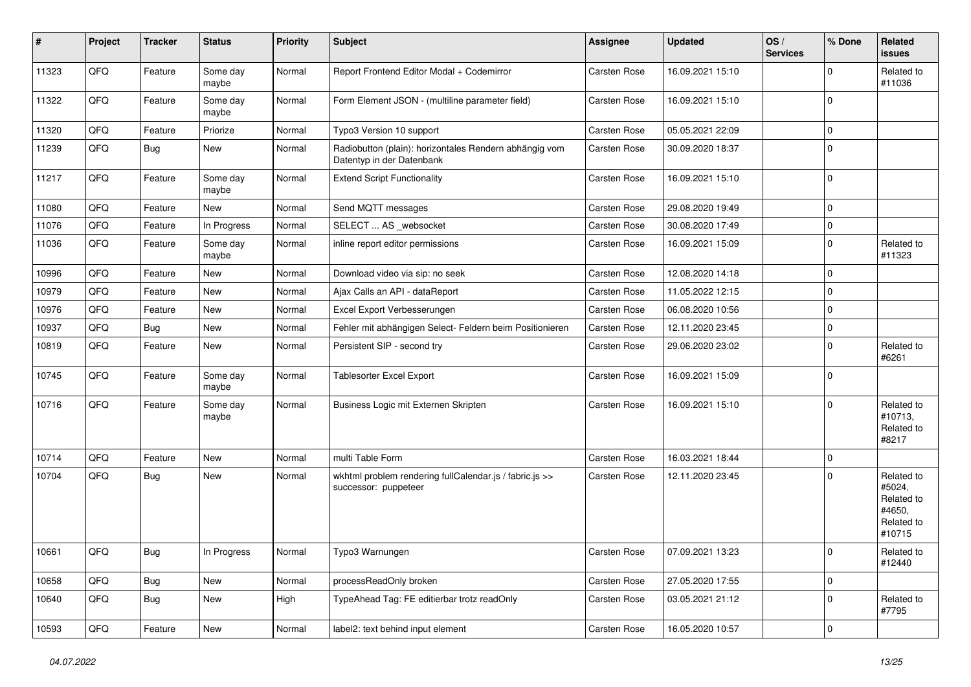| $\vert$ # | Project | <b>Tracker</b> | <b>Status</b>     | <b>Priority</b> | <b>Subject</b>                                                                      | Assignee            | <b>Updated</b>   | OS/<br><b>Services</b> | % Done      | Related<br>issues                                                    |
|-----------|---------|----------------|-------------------|-----------------|-------------------------------------------------------------------------------------|---------------------|------------------|------------------------|-------------|----------------------------------------------------------------------|
| 11323     | QFQ     | Feature        | Some day<br>maybe | Normal          | Report Frontend Editor Modal + Codemirror                                           | Carsten Rose        | 16.09.2021 15:10 |                        | $\Omega$    | Related to<br>#11036                                                 |
| 11322     | QFQ     | Feature        | Some day<br>maybe | Normal          | Form Element JSON - (multiline parameter field)                                     | Carsten Rose        | 16.09.2021 15:10 |                        | 0           |                                                                      |
| 11320     | QFQ     | Feature        | Priorize          | Normal          | Typo3 Version 10 support                                                            | Carsten Rose        | 05.05.2021 22:09 |                        | $\Omega$    |                                                                      |
| 11239     | QFQ     | <b>Bug</b>     | New               | Normal          | Radiobutton (plain): horizontales Rendern abhängig vom<br>Datentyp in der Datenbank | Carsten Rose        | 30.09.2020 18:37 |                        | $\Omega$    |                                                                      |
| 11217     | QFQ     | Feature        | Some day<br>maybe | Normal          | <b>Extend Script Functionality</b>                                                  | Carsten Rose        | 16.09.2021 15:10 |                        | $\Omega$    |                                                                      |
| 11080     | QFQ     | Feature        | New               | Normal          | Send MQTT messages                                                                  | <b>Carsten Rose</b> | 29.08.2020 19:49 |                        | $\Omega$    |                                                                      |
| 11076     | QFQ     | Feature        | In Progress       | Normal          | SELECT  AS _websocket                                                               | Carsten Rose        | 30.08.2020 17:49 |                        | $\mathbf 0$ |                                                                      |
| 11036     | QFQ     | Feature        | Some day<br>maybe | Normal          | inline report editor permissions                                                    | Carsten Rose        | 16.09.2021 15:09 |                        | $\mathbf 0$ | Related to<br>#11323                                                 |
| 10996     | QFQ     | Feature        | <b>New</b>        | Normal          | Download video via sip: no seek                                                     | <b>Carsten Rose</b> | 12.08.2020 14:18 |                        | $\mathbf 0$ |                                                                      |
| 10979     | QFQ     | Feature        | <b>New</b>        | Normal          | Ajax Calls an API - dataReport                                                      | Carsten Rose        | 11.05.2022 12:15 |                        | $\Omega$    |                                                                      |
| 10976     | QFQ     | Feature        | <b>New</b>        | Normal          | Excel Export Verbesserungen                                                         | Carsten Rose        | 06.08.2020 10:56 |                        | $\mathbf 0$ |                                                                      |
| 10937     | QFQ     | <b>Bug</b>     | New               | Normal          | Fehler mit abhängigen Select- Feldern beim Positionieren                            | Carsten Rose        | 12.11.2020 23:45 |                        | 0           |                                                                      |
| 10819     | QFQ     | Feature        | <b>New</b>        | Normal          | Persistent SIP - second try                                                         | Carsten Rose        | 29.06.2020 23:02 |                        | $\mathbf 0$ | Related to<br>#6261                                                  |
| 10745     | QFQ     | Feature        | Some day<br>maybe | Normal          | <b>Tablesorter Excel Export</b>                                                     | Carsten Rose        | 16.09.2021 15:09 |                        | $\Omega$    |                                                                      |
| 10716     | QFQ     | Feature        | Some day<br>maybe | Normal          | Business Logic mit Externen Skripten                                                | Carsten Rose        | 16.09.2021 15:10 |                        | $\Omega$    | Related to<br>#10713.<br>Related to<br>#8217                         |
| 10714     | QFQ     | Feature        | <b>New</b>        | Normal          | multi Table Form                                                                    | Carsten Rose        | 16.03.2021 18:44 |                        | 0           |                                                                      |
| 10704     | QFQ     | <b>Bug</b>     | New               | Normal          | wkhtml problem rendering fullCalendar.js / fabric.js >><br>successor: puppeteer     | Carsten Rose        | 12.11.2020 23:45 |                        | $\Omega$    | Related to<br>#5024,<br>Related to<br>#4650,<br>Related to<br>#10715 |
| 10661     | QFQ     | <b>Bug</b>     | In Progress       | Normal          | Typo3 Warnungen                                                                     | Carsten Rose        | 07.09.2021 13:23 |                        | $\mathbf 0$ | Related to<br>#12440                                                 |
| 10658     | QFQ     | <b>Bug</b>     | New               | Normal          | processReadOnly broken                                                              | Carsten Rose        | 27.05.2020 17:55 |                        | $\mathbf 0$ |                                                                      |
| 10640     | QFQ     | <b>Bug</b>     | <b>New</b>        | High            | TypeAhead Tag: FE editierbar trotz readOnly                                         | Carsten Rose        | 03.05.2021 21:12 |                        | $\Omega$    | Related to<br>#7795                                                  |
| 10593     | QFQ     | Feature        | New               | Normal          | label2: text behind input element                                                   | <b>Carsten Rose</b> | 16.05.2020 10:57 |                        | $\Omega$    |                                                                      |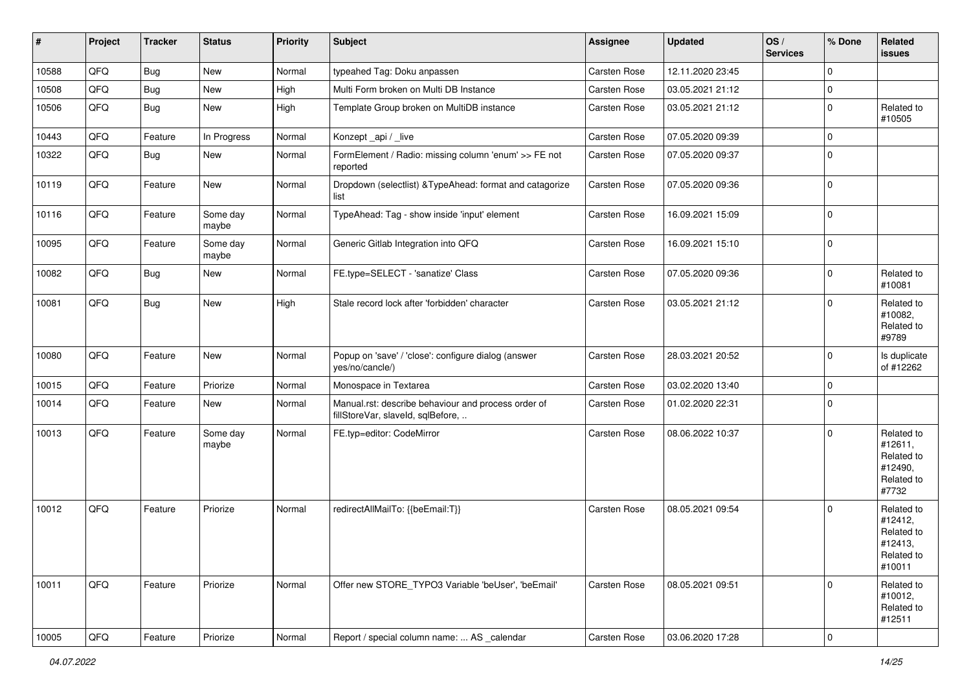| #     | Project | <b>Tracker</b> | <b>Status</b>     | Priority | <b>Subject</b>                                                                           | Assignee     | <b>Updated</b>   | OS/<br><b>Services</b> | % Done                  | Related<br>issues                                                      |
|-------|---------|----------------|-------------------|----------|------------------------------------------------------------------------------------------|--------------|------------------|------------------------|-------------------------|------------------------------------------------------------------------|
| 10588 | QFQ     | <b>Bug</b>     | New               | Normal   | typeahed Tag: Doku anpassen                                                              | Carsten Rose | 12.11.2020 23:45 |                        | $\Omega$                |                                                                        |
| 10508 | QFQ     | <b>Bug</b>     | New               | High     | Multi Form broken on Multi DB Instance                                                   | Carsten Rose | 03.05.2021 21:12 |                        | $\mathbf 0$             |                                                                        |
| 10506 | QFQ     | <b>Bug</b>     | New               | High     | Template Group broken on MultiDB instance                                                | Carsten Rose | 03.05.2021 21:12 |                        | $\Omega$                | Related to<br>#10505                                                   |
| 10443 | QFQ     | Feature        | In Progress       | Normal   | Konzept_api / _live                                                                      | Carsten Rose | 07.05.2020 09:39 |                        | $\Omega$                |                                                                        |
| 10322 | QFQ     | Bug            | New               | Normal   | FormElement / Radio: missing column 'enum' >> FE not<br>reported                         | Carsten Rose | 07.05.2020 09:37 |                        | $\Omega$                |                                                                        |
| 10119 | QFQ     | Feature        | New               | Normal   | Dropdown (selectlist) & TypeAhead: format and catagorize<br>list                         | Carsten Rose | 07.05.2020 09:36 |                        | $\Omega$                |                                                                        |
| 10116 | QFQ     | Feature        | Some day<br>maybe | Normal   | TypeAhead: Tag - show inside 'input' element                                             | Carsten Rose | 16.09.2021 15:09 |                        | $\mathbf 0$             |                                                                        |
| 10095 | QFQ     | Feature        | Some day<br>maybe | Normal   | Generic Gitlab Integration into QFQ                                                      | Carsten Rose | 16.09.2021 15:10 |                        | 0                       |                                                                        |
| 10082 | QFQ     | <b>Bug</b>     | New               | Normal   | FE.type=SELECT - 'sanatize' Class                                                        | Carsten Rose | 07.05.2020 09:36 |                        | $\Omega$                | Related to<br>#10081                                                   |
| 10081 | QFQ     | <b>Bug</b>     | New               | High     | Stale record lock after 'forbidden' character                                            | Carsten Rose | 03.05.2021 21:12 |                        | $\Omega$                | Related to<br>#10082,<br>Related to<br>#9789                           |
| 10080 | QFQ     | Feature        | New               | Normal   | Popup on 'save' / 'close': configure dialog (answer<br>yes/no/cancle/)                   | Carsten Rose | 28.03.2021 20:52 |                        | $\mathbf 0$             | Is duplicate<br>of #12262                                              |
| 10015 | QFQ     | Feature        | Priorize          | Normal   | Monospace in Textarea                                                                    | Carsten Rose | 03.02.2020 13:40 |                        | $\Omega$                |                                                                        |
| 10014 | QFQ     | Feature        | New               | Normal   | Manual.rst: describe behaviour and process order of<br>fillStoreVar, slaveId, sqlBefore, | Carsten Rose | 01.02.2020 22:31 |                        | $\mathbf 0$             |                                                                        |
| 10013 | QFQ     | Feature        | Some day<br>maybe | Normal   | FE.typ=editor: CodeMirror                                                                | Carsten Rose | 08.06.2022 10:37 |                        | $\Omega$                | Related to<br>#12611,<br>Related to<br>#12490,<br>Related to<br>#7732  |
| 10012 | QFQ     | Feature        | Priorize          | Normal   | redirectAllMailTo: {{beEmail:T}}                                                         | Carsten Rose | 08.05.2021 09:54 |                        | $\Omega$                | Related to<br>#12412,<br>Related to<br>#12413,<br>Related to<br>#10011 |
| 10011 | QFQ     | Feature        | Priorize          | Normal   | Offer new STORE_TYPO3 Variable 'beUser', 'beEmail'                                       | Carsten Rose | 08.05.2021 09:51 |                        | 0                       | Related to<br>#10012,<br>Related to<br>#12511                          |
| 10005 | QFQ     | Feature        | Priorize          | Normal   | Report / special column name:  AS _calendar                                              | Carsten Rose | 03.06.2020 17:28 |                        | $\overline{\mathbf{0}}$ |                                                                        |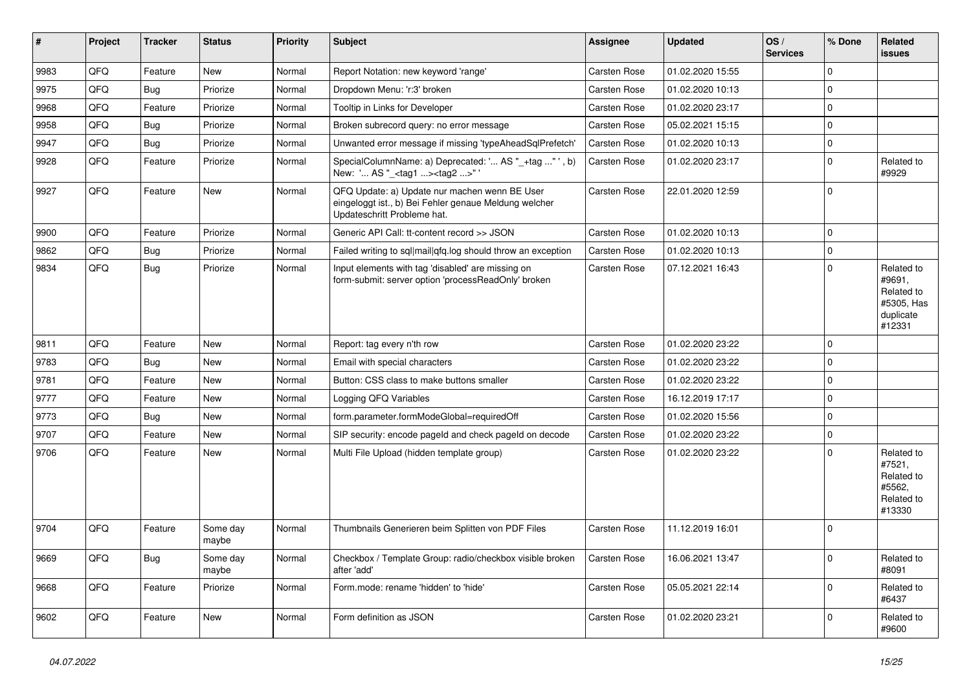| ∥ #  | Project | <b>Tracker</b> | <b>Status</b>     | <b>Priority</b> | <b>Subject</b>                                                                                                                        | Assignee     | <b>Updated</b>   | OS/<br><b>Services</b> | % Done      | Related<br><b>issues</b>                                                |
|------|---------|----------------|-------------------|-----------------|---------------------------------------------------------------------------------------------------------------------------------------|--------------|------------------|------------------------|-------------|-------------------------------------------------------------------------|
| 9983 | QFQ     | Feature        | <b>New</b>        | Normal          | Report Notation: new keyword 'range'                                                                                                  | Carsten Rose | 01.02.2020 15:55 |                        | $\mathbf 0$ |                                                                         |
| 9975 | QFQ     | Bug            | Priorize          | Normal          | Dropdown Menu: 'r:3' broken                                                                                                           | Carsten Rose | 01.02.2020 10:13 |                        | $\mathbf 0$ |                                                                         |
| 9968 | QFQ     | Feature        | Priorize          | Normal          | Tooltip in Links for Developer                                                                                                        | Carsten Rose | 01.02.2020 23:17 |                        | $\mathbf 0$ |                                                                         |
| 9958 | QFQ     | Bug            | Priorize          | Normal          | Broken subrecord query: no error message                                                                                              | Carsten Rose | 05.02.2021 15:15 |                        | $\mathbf 0$ |                                                                         |
| 9947 | QFQ     | Bug            | Priorize          | Normal          | Unwanted error message if missing 'typeAheadSqlPrefetch'                                                                              | Carsten Rose | 01.02.2020 10:13 |                        | $\pmb{0}$   |                                                                         |
| 9928 | QFQ     | Feature        | Priorize          | Normal          | SpecialColumnName: a) Deprecated: ' AS "_+tag " ', b)<br>New: ' AS "_ <tag1><tag2>"'</tag2></tag1>                                    | Carsten Rose | 01.02.2020 23:17 |                        | $\Omega$    | Related to<br>#9929                                                     |
| 9927 | QFQ     | Feature        | <b>New</b>        | Normal          | QFQ Update: a) Update nur machen wenn BE User<br>eingeloggt ist., b) Bei Fehler genaue Meldung welcher<br>Updateschritt Probleme hat. | Carsten Rose | 22.01.2020 12:59 |                        | $\mathbf 0$ |                                                                         |
| 9900 | QFQ     | Feature        | Priorize          | Normal          | Generic API Call: tt-content record >> JSON                                                                                           | Carsten Rose | 01.02.2020 10:13 |                        | $\mathsf 0$ |                                                                         |
| 9862 | QFQ     | <b>Bug</b>     | Priorize          | Normal          | Failed writing to sql mail qfq.log should throw an exception                                                                          | Carsten Rose | 01.02.2020 10:13 |                        | $\mathbf 0$ |                                                                         |
| 9834 | QFQ     | Bug            | Priorize          | Normal          | Input elements with tag 'disabled' are missing on<br>form-submit: server option 'processReadOnly' broken                              | Carsten Rose | 07.12.2021 16:43 |                        | $\mathbf 0$ | Related to<br>#9691,<br>Related to<br>#5305, Has<br>duplicate<br>#12331 |
| 9811 | QFQ     | Feature        | <b>New</b>        | Normal          | Report: tag every n'th row                                                                                                            | Carsten Rose | 01.02.2020 23:22 |                        | $\Omega$    |                                                                         |
| 9783 | QFQ     | Bug            | <b>New</b>        | Normal          | Email with special characters                                                                                                         | Carsten Rose | 01.02.2020 23:22 |                        | $\Omega$    |                                                                         |
| 9781 | QFQ     | Feature        | <b>New</b>        | Normal          | Button: CSS class to make buttons smaller                                                                                             | Carsten Rose | 01.02.2020 23:22 |                        | $\mathbf 0$ |                                                                         |
| 9777 | QFQ     | Feature        | <b>New</b>        | Normal          | Logging QFQ Variables                                                                                                                 | Carsten Rose | 16.12.2019 17:17 |                        | $\mathbf 0$ |                                                                         |
| 9773 | QFQ     | Bug            | <b>New</b>        | Normal          | form.parameter.formModeGlobal=requiredOff                                                                                             | Carsten Rose | 01.02.2020 15:56 |                        | $\mathbf 0$ |                                                                         |
| 9707 | QFQ     | Feature        | New               | Normal          | SIP security: encode pageld and check pageld on decode                                                                                | Carsten Rose | 01.02.2020 23:22 |                        | $\mathsf 0$ |                                                                         |
| 9706 | QFQ     | Feature        | New               | Normal          | Multi File Upload (hidden template group)                                                                                             | Carsten Rose | 01.02.2020 23:22 |                        | $\mathbf 0$ | Related to<br>#7521,<br>Related to<br>#5562.<br>Related to<br>#13330    |
| 9704 | QFQ     | Feature        | Some day<br>maybe | Normal          | Thumbnails Generieren beim Splitten von PDF Files                                                                                     | Carsten Rose | 11.12.2019 16:01 |                        | $\mathbf 0$ |                                                                         |
| 9669 | QFQ     | <b>Bug</b>     | Some day<br>maybe | Normal          | Checkbox / Template Group: radio/checkbox visible broken<br>after 'add'                                                               | Carsten Rose | 16.06.2021 13:47 |                        | $\mathbf 0$ | Related to<br>#8091                                                     |
| 9668 | QFQ     | Feature        | Priorize          | Normal          | Form.mode: rename 'hidden' to 'hide'                                                                                                  | Carsten Rose | 05.05.2021 22:14 |                        | $\mathsf 0$ | Related to<br>#6437                                                     |
| 9602 | QFQ     | Feature        | <b>New</b>        | Normal          | Form definition as JSON                                                                                                               | Carsten Rose | 01.02.2020 23:21 |                        | $\Omega$    | Related to<br>#9600                                                     |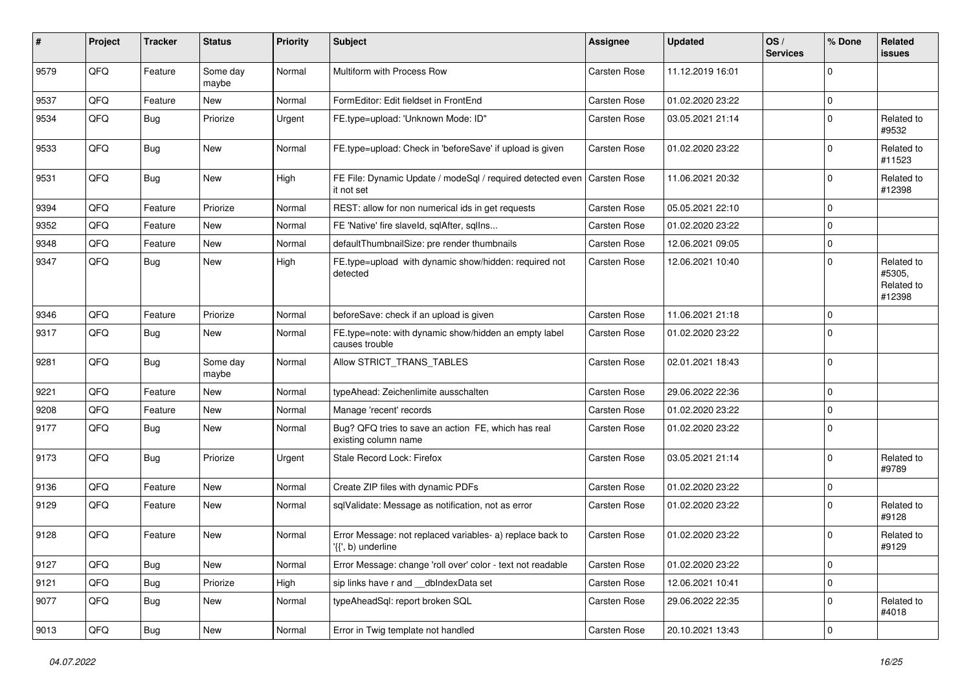| #    | Project | <b>Tracker</b> | <b>Status</b>     | <b>Priority</b> | <b>Subject</b>                                                                  | <b>Assignee</b> | <b>Updated</b>   | OS/<br><b>Services</b> | % Done      | Related<br><b>issues</b>                     |
|------|---------|----------------|-------------------|-----------------|---------------------------------------------------------------------------------|-----------------|------------------|------------------------|-------------|----------------------------------------------|
| 9579 | QFQ     | Feature        | Some day<br>maybe | Normal          | Multiform with Process Row                                                      | Carsten Rose    | 11.12.2019 16:01 |                        | $\mathbf 0$ |                                              |
| 9537 | QFQ     | Feature        | New               | Normal          | FormEditor: Edit fieldset in FrontEnd                                           | Carsten Rose    | 01.02.2020 23:22 |                        | $\mathbf 0$ |                                              |
| 9534 | QFQ     | Bug            | Priorize          | Urgent          | FE.type=upload: 'Unknown Mode: ID"                                              | Carsten Rose    | 03.05.2021 21:14 |                        | $\mathbf 0$ | Related to<br>#9532                          |
| 9533 | QFQ     | <b>Bug</b>     | <b>New</b>        | Normal          | FE.type=upload: Check in 'beforeSave' if upload is given                        | Carsten Rose    | 01.02.2020 23:22 |                        | $\mathbf 0$ | Related to<br>#11523                         |
| 9531 | QFQ     | Bug            | <b>New</b>        | High            | FE File: Dynamic Update / modeSql / required detected even<br>it not set        | Carsten Rose    | 11.06.2021 20:32 |                        | $\mathbf 0$ | Related to<br>#12398                         |
| 9394 | QFQ     | Feature        | Priorize          | Normal          | REST: allow for non numerical ids in get requests                               | Carsten Rose    | 05.05.2021 22:10 |                        | $\mathbf 0$ |                                              |
| 9352 | QFQ     | Feature        | New               | Normal          | FE 'Native' fire slaveld, sqlAfter, sqlIns                                      | Carsten Rose    | 01.02.2020 23:22 |                        | $\mathbf 0$ |                                              |
| 9348 | QFQ     | Feature        | <b>New</b>        | Normal          | defaultThumbnailSize: pre render thumbnails                                     | Carsten Rose    | 12.06.2021 09:05 |                        | $\mathbf 0$ |                                              |
| 9347 | QFQ     | <b>Bug</b>     | New               | High            | FE.type=upload with dynamic show/hidden: required not<br>detected               | Carsten Rose    | 12.06.2021 10:40 |                        | $\mathbf 0$ | Related to<br>#5305,<br>Related to<br>#12398 |
| 9346 | QFQ     | Feature        | Priorize          | Normal          | beforeSave: check if an upload is given                                         | Carsten Rose    | 11.06.2021 21:18 |                        | $\mathbf 0$ |                                              |
| 9317 | QFQ     | <b>Bug</b>     | New               | Normal          | FE.type=note: with dynamic show/hidden an empty label<br>causes trouble         | Carsten Rose    | 01.02.2020 23:22 |                        | $\mathbf 0$ |                                              |
| 9281 | QFQ     | <b>Bug</b>     | Some day<br>maybe | Normal          | Allow STRICT_TRANS_TABLES                                                       | Carsten Rose    | 02.01.2021 18:43 |                        | $\mathbf 0$ |                                              |
| 9221 | QFQ     | Feature        | <b>New</b>        | Normal          | typeAhead: Zeichenlimite ausschalten                                            | Carsten Rose    | 29.06.2022 22:36 |                        | $\mathbf 0$ |                                              |
| 9208 | QFQ     | Feature        | <b>New</b>        | Normal          | Manage 'recent' records                                                         | Carsten Rose    | 01.02.2020 23:22 |                        | $\mathbf 0$ |                                              |
| 9177 | QFQ     | <b>Bug</b>     | New               | Normal          | Bug? QFQ tries to save an action FE, which has real<br>existing column name     | Carsten Rose    | 01.02.2020 23:22 |                        | $\mathbf 0$ |                                              |
| 9173 | QFQ     | Bug            | Priorize          | Urgent          | Stale Record Lock: Firefox                                                      | Carsten Rose    | 03.05.2021 21:14 |                        | $\mathbf 0$ | Related to<br>#9789                          |
| 9136 | QFQ     | Feature        | <b>New</b>        | Normal          | Create ZIP files with dynamic PDFs                                              | Carsten Rose    | 01.02.2020 23:22 |                        | $\mathbf 0$ |                                              |
| 9129 | QFQ     | Feature        | New               | Normal          | sqlValidate: Message as notification, not as error                              | Carsten Rose    | 01.02.2020 23:22 |                        | $\mathbf 0$ | Related to<br>#9128                          |
| 9128 | QFQ     | Feature        | <b>New</b>        | Normal          | Error Message: not replaced variables- a) replace back to<br>'{{', b) underline | Carsten Rose    | 01.02.2020 23:22 |                        | $\mathbf 0$ | Related to<br>#9129                          |
| 9127 | QFQ     | Bug            | New               | Normal          | Error Message: change 'roll over' color - text not readable                     | Carsten Rose    | 01.02.2020 23:22 |                        | $\mathbf 0$ |                                              |
| 9121 | QFQ     | <b>Bug</b>     | Priorize          | High            | sip links have r and __dbIndexData set                                          | Carsten Rose    | 12.06.2021 10:41 |                        | $\mathbf 0$ |                                              |
| 9077 | QFQ     | <b>Bug</b>     | New               | Normal          | typeAheadSql: report broken SQL                                                 | Carsten Rose    | 29.06.2022 22:35 |                        | $\mathbf 0$ | Related to<br>#4018                          |
| 9013 | QFQ     | <b>Bug</b>     | New               | Normal          | Error in Twig template not handled                                              | Carsten Rose    | 20.10.2021 13:43 |                        | $\mathbf 0$ |                                              |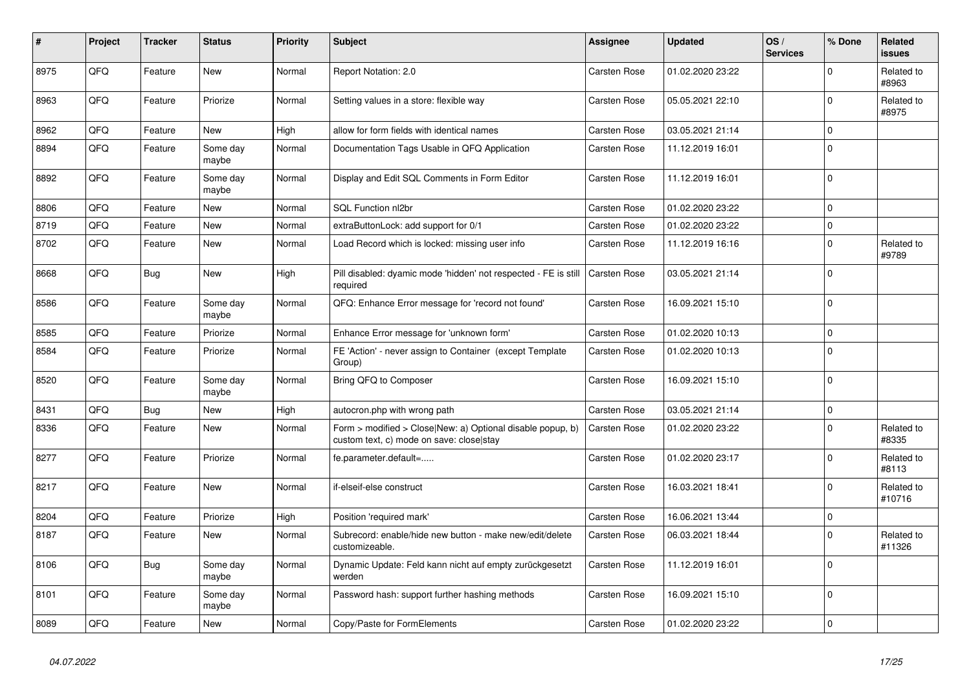| $\pmb{\sharp}$ | Project | <b>Tracker</b> | <b>Status</b>     | <b>Priority</b> | <b>Subject</b>                                                                                         | Assignee            | <b>Updated</b>   | OS/<br><b>Services</b> | % Done      | Related<br>issues    |
|----------------|---------|----------------|-------------------|-----------------|--------------------------------------------------------------------------------------------------------|---------------------|------------------|------------------------|-------------|----------------------|
| 8975           | QFQ     | Feature        | <b>New</b>        | Normal          | Report Notation: 2.0                                                                                   | Carsten Rose        | 01.02.2020 23:22 |                        | $\Omega$    | Related to<br>#8963  |
| 8963           | QFQ     | Feature        | Priorize          | Normal          | Setting values in a store: flexible way                                                                | Carsten Rose        | 05.05.2021 22:10 |                        | 0           | Related to<br>#8975  |
| 8962           | QFQ     | Feature        | New               | High            | allow for form fields with identical names                                                             | Carsten Rose        | 03.05.2021 21:14 |                        | $\Omega$    |                      |
| 8894           | QFQ     | Feature        | Some day<br>maybe | Normal          | Documentation Tags Usable in QFQ Application                                                           | <b>Carsten Rose</b> | 11.12.2019 16:01 |                        | $\Omega$    |                      |
| 8892           | QFQ     | Feature        | Some day<br>maybe | Normal          | Display and Edit SQL Comments in Form Editor                                                           | Carsten Rose        | 11.12.2019 16:01 |                        | $\Omega$    |                      |
| 8806           | QFQ     | Feature        | <b>New</b>        | Normal          | <b>SQL Function nl2br</b>                                                                              | <b>Carsten Rose</b> | 01.02.2020 23:22 |                        | $\Omega$    |                      |
| 8719           | QFQ     | Feature        | <b>New</b>        | Normal          | extraButtonLock: add support for 0/1                                                                   | Carsten Rose        | 01.02.2020 23:22 |                        | $\Omega$    |                      |
| 8702           | QFQ     | Feature        | New               | Normal          | Load Record which is locked: missing user info                                                         | Carsten Rose        | 11.12.2019 16:16 |                        | $\Omega$    | Related to<br>#9789  |
| 8668           | QFQ     | Bug            | New               | High            | Pill disabled: dyamic mode 'hidden' not respected - FE is still<br>required                            | <b>Carsten Rose</b> | 03.05.2021 21:14 |                        | $\Omega$    |                      |
| 8586           | QFQ     | Feature        | Some day<br>maybe | Normal          | QFQ: Enhance Error message for 'record not found'                                                      | <b>Carsten Rose</b> | 16.09.2021 15:10 |                        | $\mathbf 0$ |                      |
| 8585           | QFQ     | Feature        | Priorize          | Normal          | Enhance Error message for 'unknown form'                                                               | <b>Carsten Rose</b> | 01.02.2020 10:13 |                        | $\Omega$    |                      |
| 8584           | QFQ     | Feature        | Priorize          | Normal          | FE 'Action' - never assign to Container (except Template<br>Group)                                     | <b>Carsten Rose</b> | 01.02.2020 10:13 |                        | $\Omega$    |                      |
| 8520           | QFQ     | Feature        | Some day<br>maybe | Normal          | Bring QFQ to Composer                                                                                  | <b>Carsten Rose</b> | 16.09.2021 15:10 |                        | $\Omega$    |                      |
| 8431           | QFQ     | <b>Bug</b>     | <b>New</b>        | High            | autocron.php with wrong path                                                                           | Carsten Rose        | 03.05.2021 21:14 |                        | 0           |                      |
| 8336           | QFQ     | Feature        | New               | Normal          | Form > modified > Close New: a) Optional disable popup, b)<br>custom text, c) mode on save: close stay | <b>Carsten Rose</b> | 01.02.2020 23:22 |                        | $\Omega$    | Related to<br>#8335  |
| 8277           | QFQ     | Feature        | Priorize          | Normal          | fe.parameter.default=                                                                                  | <b>Carsten Rose</b> | 01.02.2020 23:17 |                        | $\Omega$    | Related to<br>#8113  |
| 8217           | QFQ     | Feature        | New               | Normal          | if-elseif-else construct                                                                               | <b>Carsten Rose</b> | 16.03.2021 18:41 |                        | $\Omega$    | Related to<br>#10716 |
| 8204           | QFQ     | Feature        | Priorize          | High            | Position 'required mark'                                                                               | Carsten Rose        | 16.06.2021 13:44 |                        | $\Omega$    |                      |
| 8187           | QFQ     | Feature        | <b>New</b>        | Normal          | Subrecord: enable/hide new button - make new/edit/delete<br>customizeable.                             | <b>Carsten Rose</b> | 06.03.2021 18:44 |                        | $\Omega$    | Related to<br>#11326 |
| 8106           | QFQ     | <b>Bug</b>     | Some day<br>maybe | Normal          | Dynamic Update: Feld kann nicht auf empty zurückgesetzt<br>werden                                      | Carsten Rose        | 11.12.2019 16:01 |                        | $\Omega$    |                      |
| 8101           | QFQ     | Feature        | Some day<br>maybe | Normal          | Password hash: support further hashing methods                                                         | Carsten Rose        | 16.09.2021 15:10 |                        | $\Omega$    |                      |
| 8089           | QFQ     | Feature        | <b>New</b>        | Normal          | Copy/Paste for FormElements                                                                            | <b>Carsten Rose</b> | 01.02.2020 23:22 |                        | $\Omega$    |                      |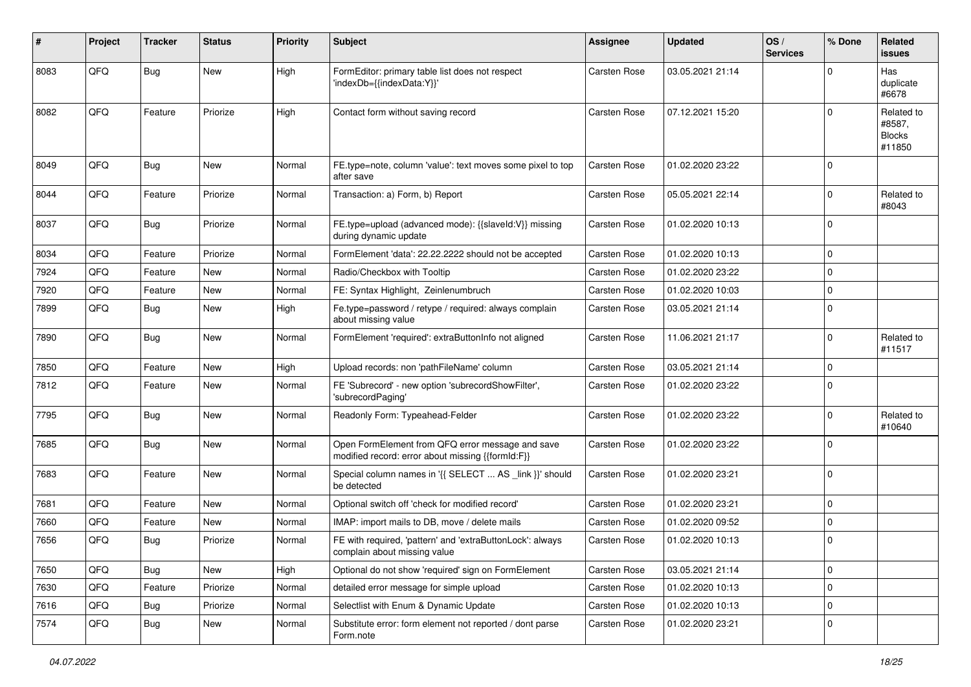| #    | Project | <b>Tracker</b> | <b>Status</b> | <b>Priority</b> | Subject                                                                                               | Assignee            | <b>Updated</b>   | OS/<br><b>Services</b> | % Done      | Related<br><b>issues</b>                        |
|------|---------|----------------|---------------|-----------------|-------------------------------------------------------------------------------------------------------|---------------------|------------------|------------------------|-------------|-------------------------------------------------|
| 8083 | QFQ     | Bug            | New           | High            | FormEditor: primary table list does not respect<br>'indexDb={{indexData:Y}}'                          | Carsten Rose        | 03.05.2021 21:14 |                        | $\Omega$    | Has<br>duplicate<br>#6678                       |
| 8082 | QFQ     | Feature        | Priorize      | High            | Contact form without saving record                                                                    | Carsten Rose        | 07.12.2021 15:20 |                        | $\Omega$    | Related to<br>#8587,<br><b>Blocks</b><br>#11850 |
| 8049 | QFQ     | <b>Bug</b>     | New           | Normal          | FE.type=note, column 'value': text moves some pixel to top<br>after save                              | Carsten Rose        | 01.02.2020 23:22 |                        | $\Omega$    |                                                 |
| 8044 | QFQ     | Feature        | Priorize      | Normal          | Transaction: a) Form, b) Report                                                                       | Carsten Rose        | 05.05.2021 22:14 |                        | $\Omega$    | Related to<br>#8043                             |
| 8037 | QFQ     | Bug            | Priorize      | Normal          | FE.type=upload (advanced mode): {{slaveld:V}} missing<br>during dynamic update                        | Carsten Rose        | 01.02.2020 10:13 |                        | 0           |                                                 |
| 8034 | QFQ     | Feature        | Priorize      | Normal          | FormElement 'data': 22.22.2222 should not be accepted                                                 | <b>Carsten Rose</b> | 01.02.2020 10:13 |                        | $\Omega$    |                                                 |
| 7924 | QFQ     | Feature        | New           | Normal          | Radio/Checkbox with Tooltip                                                                           | Carsten Rose        | 01.02.2020 23:22 |                        | $\mathbf 0$ |                                                 |
| 7920 | QFQ     | Feature        | New           | Normal          | FE: Syntax Highlight, Zeinlenumbruch                                                                  | Carsten Rose        | 01.02.2020 10:03 |                        | $\Omega$    |                                                 |
| 7899 | QFQ     | Bug            | New           | High            | Fe.type=password / retype / required: always complain<br>about missing value                          | Carsten Rose        | 03.05.2021 21:14 |                        | $\mathbf 0$ |                                                 |
| 7890 | QFQ     | Bug            | New           | Normal          | FormElement 'required': extraButtonInfo not aligned                                                   | Carsten Rose        | 11.06.2021 21:17 |                        | $\Omega$    | Related to<br>#11517                            |
| 7850 | QFQ     | Feature        | New           | High            | Upload records: non 'pathFileName' column                                                             | Carsten Rose        | 03.05.2021 21:14 |                        | $\mathbf 0$ |                                                 |
| 7812 | QFQ     | Feature        | New           | Normal          | FE 'Subrecord' - new option 'subrecordShowFilter',<br>'subrecordPaging'                               | Carsten Rose        | 01.02.2020 23:22 |                        | $\Omega$    |                                                 |
| 7795 | QFQ     | Bug            | New           | Normal          | Readonly Form: Typeahead-Felder                                                                       | Carsten Rose        | 01.02.2020 23:22 |                        | $\mathbf 0$ | Related to<br>#10640                            |
| 7685 | QFQ     | Bug            | New           | Normal          | Open FormElement from QFQ error message and save<br>modified record: error about missing {{formId:F}} | Carsten Rose        | 01.02.2020 23:22 |                        | $\Omega$    |                                                 |
| 7683 | QFQ     | Feature        | New           | Normal          | Special column names in '{{ SELECT  AS _link }}' should<br>be detected                                | Carsten Rose        | 01.02.2020 23:21 |                        | 0           |                                                 |
| 7681 | QFQ     | Feature        | New           | Normal          | Optional switch off 'check for modified record'                                                       | Carsten Rose        | 01.02.2020 23:21 |                        | $\Omega$    |                                                 |
| 7660 | QFQ     | Feature        | New           | Normal          | IMAP: import mails to DB, move / delete mails                                                         | Carsten Rose        | 01.02.2020 09:52 |                        | $\mathbf 0$ |                                                 |
| 7656 | QFQ     | <b>Bug</b>     | Priorize      | Normal          | FE with required, 'pattern' and 'extraButtonLock': always<br>complain about missing value             | Carsten Rose        | 01.02.2020 10:13 |                        | $\mathbf 0$ |                                                 |
| 7650 | QFQ     | <b>Bug</b>     | New           | High            | Optional do not show 'required' sign on FormElement                                                   | Carsten Rose        | 03.05.2021 21:14 |                        | 0           |                                                 |
| 7630 | QFQ     | Feature        | Priorize      | Normal          | detailed error message for simple upload                                                              | Carsten Rose        | 01.02.2020 10:13 |                        | $\mathbf 0$ |                                                 |
| 7616 | QFQ     | Bug            | Priorize      | Normal          | Selectlist with Enum & Dynamic Update                                                                 | Carsten Rose        | 01.02.2020 10:13 |                        | $\mathbf 0$ |                                                 |
| 7574 | QFQ     | <b>Bug</b>     | New           | Normal          | Substitute error: form element not reported / dont parse<br>Form.note                                 | Carsten Rose        | 01.02.2020 23:21 |                        | 0           |                                                 |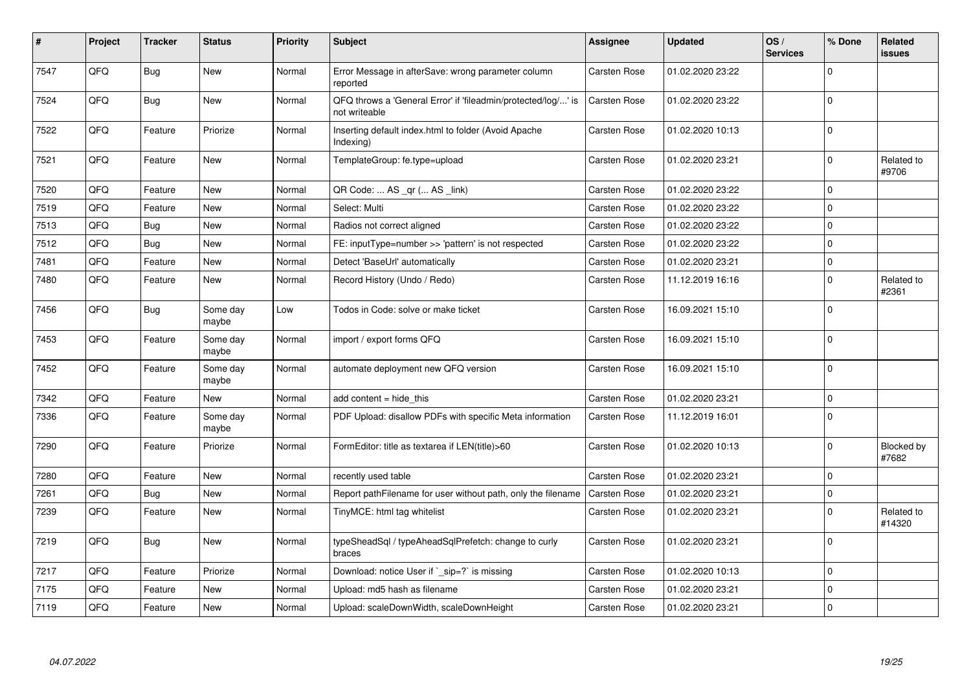| #    | Project | <b>Tracker</b> | <b>Status</b>     | <b>Priority</b> | <b>Subject</b>                                                                 | Assignee            | <b>Updated</b>   | OS/<br><b>Services</b> | % Done      | Related<br><b>issues</b>   |
|------|---------|----------------|-------------------|-----------------|--------------------------------------------------------------------------------|---------------------|------------------|------------------------|-------------|----------------------------|
| 7547 | QFQ     | Bug            | <b>New</b>        | Normal          | Error Message in afterSave: wrong parameter column<br>reported                 | Carsten Rose        | 01.02.2020 23:22 |                        | $\Omega$    |                            |
| 7524 | QFQ     | Bug            | <b>New</b>        | Normal          | QFQ throws a 'General Error' if 'fileadmin/protected/log/' is<br>not writeable | <b>Carsten Rose</b> | 01.02.2020 23:22 |                        | $\Omega$    |                            |
| 7522 | QFQ     | Feature        | Priorize          | Normal          | Inserting default index.html to folder (Avoid Apache<br>Indexing)              | Carsten Rose        | 01.02.2020 10:13 |                        | $\Omega$    |                            |
| 7521 | QFQ     | Feature        | New               | Normal          | TemplateGroup: fe.type=upload                                                  | Carsten Rose        | 01.02.2020 23:21 |                        | $\mathbf 0$ | Related to<br>#9706        |
| 7520 | QFQ     | Feature        | <b>New</b>        | Normal          | QR Code:  AS _qr ( AS _link)                                                   | Carsten Rose        | 01.02.2020 23:22 |                        | $\mathbf 0$ |                            |
| 7519 | QFQ     | Feature        | <b>New</b>        | Normal          | Select: Multi                                                                  | Carsten Rose        | 01.02.2020 23:22 |                        | $\Omega$    |                            |
| 7513 | QFQ     | <b>Bug</b>     | <b>New</b>        | Normal          | Radios not correct aligned                                                     | Carsten Rose        | 01.02.2020 23:22 |                        | $\Omega$    |                            |
| 7512 | QFQ     | Bug            | <b>New</b>        | Normal          | FE: inputType=number >> 'pattern' is not respected                             | Carsten Rose        | 01.02.2020 23:22 |                        | $\Omega$    |                            |
| 7481 | QFQ     | Feature        | New               | Normal          | Detect 'BaseUrl' automatically                                                 | Carsten Rose        | 01.02.2020 23:21 |                        | $\mathbf 0$ |                            |
| 7480 | QFQ     | Feature        | New               | Normal          | Record History (Undo / Redo)                                                   | <b>Carsten Rose</b> | 11.12.2019 16:16 |                        | $\Omega$    | Related to<br>#2361        |
| 7456 | QFQ     | <b>Bug</b>     | Some day<br>maybe | Low             | Todos in Code: solve or make ticket                                            | Carsten Rose        | 16.09.2021 15:10 |                        | $\mathbf 0$ |                            |
| 7453 | QFQ     | Feature        | Some day<br>maybe | Normal          | import / export forms QFQ                                                      | Carsten Rose        | 16.09.2021 15:10 |                        | $\Omega$    |                            |
| 7452 | QFQ     | Feature        | Some day<br>maybe | Normal          | automate deployment new QFQ version                                            | <b>Carsten Rose</b> | 16.09.2021 15:10 |                        | $\Omega$    |                            |
| 7342 | QFQ     | Feature        | <b>New</b>        | Normal          | add content $=$ hide this                                                      | <b>Carsten Rose</b> | 01.02.2020 23:21 |                        | $\Omega$    |                            |
| 7336 | QFQ     | Feature        | Some day<br>maybe | Normal          | PDF Upload: disallow PDFs with specific Meta information                       | Carsten Rose        | 11.12.2019 16:01 |                        | $\Omega$    |                            |
| 7290 | QFQ     | Feature        | Priorize          | Normal          | FormEditor: title as textarea if LEN(title)>60                                 | Carsten Rose        | 01.02.2020 10:13 |                        | $\Omega$    | <b>Blocked by</b><br>#7682 |
| 7280 | QFQ     | Feature        | <b>New</b>        | Normal          | recently used table                                                            | Carsten Rose        | 01.02.2020 23:21 |                        | $\mathbf 0$ |                            |
| 7261 | QFQ     | Bug            | <b>New</b>        | Normal          | Report pathFilename for user without path, only the filename                   | <b>Carsten Rose</b> | 01.02.2020 23:21 |                        | 0           |                            |
| 7239 | QFQ     | Feature        | New               | Normal          | TinyMCE: html tag whitelist                                                    | Carsten Rose        | 01.02.2020 23:21 |                        | $\Omega$    | Related to<br>#14320       |
| 7219 | QFQ     | Bug            | <b>New</b>        | Normal          | typeSheadSql / typeAheadSqlPrefetch: change to curly<br>braces                 | Carsten Rose        | 01.02.2020 23:21 |                        | $\Omega$    |                            |
| 7217 | QFQ     | Feature        | Priorize          | Normal          | Download: notice User if ` sip=?` is missing                                   | Carsten Rose        | 01.02.2020 10:13 |                        | $\Omega$    |                            |
| 7175 | QFQ     | Feature        | New               | Normal          | Upload: md5 hash as filename                                                   | Carsten Rose        | 01.02.2020 23:21 |                        | $\mathbf 0$ |                            |
| 7119 | QFQ     | Feature        | <b>New</b>        | Normal          | Upload: scaleDownWidth, scaleDownHeight                                        | Carsten Rose        | 01.02.2020 23:21 |                        | $\Omega$    |                            |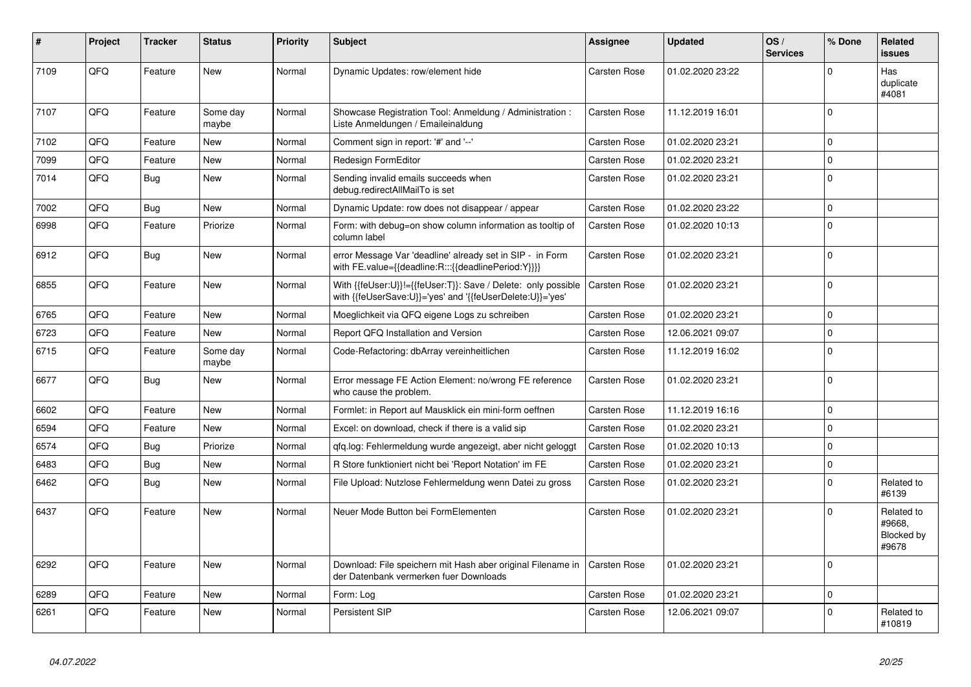| #    | Project | <b>Tracker</b> | <b>Status</b>     | <b>Priority</b> | <b>Subject</b>                                                                                                             | Assignee            | Updated          | OS/<br><b>Services</b> | % Done      | Related<br>issues                           |
|------|---------|----------------|-------------------|-----------------|----------------------------------------------------------------------------------------------------------------------------|---------------------|------------------|------------------------|-------------|---------------------------------------------|
| 7109 | QFQ     | Feature        | <b>New</b>        | Normal          | Dynamic Updates: row/element hide                                                                                          | <b>Carsten Rose</b> | 01.02.2020 23:22 |                        | $\Omega$    | Has<br>duplicate<br>#4081                   |
| 7107 | QFQ     | Feature        | Some day<br>maybe | Normal          | Showcase Registration Tool: Anmeldung / Administration :<br>Liste Anmeldungen / Emaileinaldung                             | <b>Carsten Rose</b> | 11.12.2019 16:01 |                        | $\Omega$    |                                             |
| 7102 | QFQ     | Feature        | <b>New</b>        | Normal          | Comment sign in report: '#' and '--'                                                                                       | Carsten Rose        | 01.02.2020 23:21 |                        | $\Omega$    |                                             |
| 7099 | QFQ     | Feature        | <b>New</b>        | Normal          | Redesign FormEditor                                                                                                        | Carsten Rose        | 01.02.2020 23:21 |                        | $\Omega$    |                                             |
| 7014 | QFQ     | Bug            | <b>New</b>        | Normal          | Sending invalid emails succeeds when<br>debug.redirectAllMailTo is set                                                     | <b>Carsten Rose</b> | 01.02.2020 23:21 |                        | $\Omega$    |                                             |
| 7002 | QFQ     | Bug            | <b>New</b>        | Normal          | Dynamic Update: row does not disappear / appear                                                                            | Carsten Rose        | 01.02.2020 23:22 |                        | $\Omega$    |                                             |
| 6998 | QFQ     | Feature        | Priorize          | Normal          | Form: with debug=on show column information as tooltip of<br>column label                                                  | <b>Carsten Rose</b> | 01.02.2020 10:13 |                        | $\Omega$    |                                             |
| 6912 | QFQ     | Bug            | New               | Normal          | error Message Var 'deadline' already set in SIP - in Form<br>with FE.value={{deadline:R:::{{deadlinePeriod:Y}}}}           | Carsten Rose        | 01.02.2020 23:21 |                        | $\Omega$    |                                             |
| 6855 | QFQ     | Feature        | <b>New</b>        | Normal          | With {{feUser:U}}!={{feUser:T}}: Save / Delete: only possible<br>with {{feUserSave:U}}='yes' and '{{feUserDelete:U}}='yes' | <b>Carsten Rose</b> | 01.02.2020 23:21 |                        | $\Omega$    |                                             |
| 6765 | QFQ     | Feature        | <b>New</b>        | Normal          | Moeglichkeit via QFQ eigene Logs zu schreiben                                                                              | Carsten Rose        | 01.02.2020 23:21 |                        | $\Omega$    |                                             |
| 6723 | QFQ     | Feature        | <b>New</b>        | Normal          | Report QFQ Installation and Version                                                                                        | <b>Carsten Rose</b> | 12.06.2021 09:07 |                        | $\mathbf 0$ |                                             |
| 6715 | QFQ     | Feature        | Some day<br>maybe | Normal          | Code-Refactoring: dbArray vereinheitlichen                                                                                 | <b>Carsten Rose</b> | 11.12.2019 16:02 |                        | $\mathbf 0$ |                                             |
| 6677 | QFQ     | Bug            | New               | Normal          | Error message FE Action Element: no/wrong FE reference<br>who cause the problem.                                           | <b>Carsten Rose</b> | 01.02.2020 23:21 |                        | $\Omega$    |                                             |
| 6602 | QFQ     | Feature        | <b>New</b>        | Normal          | Formlet: in Report auf Mausklick ein mini-form oeffnen                                                                     | Carsten Rose        | 11.12.2019 16:16 |                        | $\Omega$    |                                             |
| 6594 | QFQ     | Feature        | <b>New</b>        | Normal          | Excel: on download, check if there is a valid sip                                                                          | <b>Carsten Rose</b> | 01.02.2020 23:21 |                        | $\Omega$    |                                             |
| 6574 | QFQ     | Bug            | Priorize          | Normal          | qfq.log: Fehlermeldung wurde angezeigt, aber nicht geloggt                                                                 | <b>Carsten Rose</b> | 01.02.2020 10:13 |                        | $\Omega$    |                                             |
| 6483 | QFQ     | <b>Bug</b>     | <b>New</b>        | Normal          | R Store funktioniert nicht bei 'Report Notation' im FE                                                                     | Carsten Rose        | 01.02.2020 23:21 |                        | $\Omega$    |                                             |
| 6462 | QFQ     | Bug            | <b>New</b>        | Normal          | File Upload: Nutzlose Fehlermeldung wenn Datei zu gross                                                                    | <b>Carsten Rose</b> | 01.02.2020 23:21 |                        | $\Omega$    | Related to<br>#6139                         |
| 6437 | QFQ     | Feature        | <b>New</b>        | Normal          | Neuer Mode Button bei FormElementen                                                                                        | <b>Carsten Rose</b> | 01.02.2020 23:21 |                        | $\Omega$    | Related to<br>#9668.<br>Blocked by<br>#9678 |
| 6292 | QFQ     | Feature        | New               | Normal          | Download: File speichern mit Hash aber original Filename in<br>der Datenbank vermerken fuer Downloads                      | Carsten Rose        | 01.02.2020 23:21 |                        | $\Omega$    |                                             |
| 6289 | QFQ     | Feature        | <b>New</b>        | Normal          | Form: Log                                                                                                                  | Carsten Rose        | 01.02.2020 23:21 |                        | $\mathbf 0$ |                                             |
| 6261 | QFQ     | Feature        | <b>New</b>        | Normal          | Persistent SIP                                                                                                             | Carsten Rose        | 12.06.2021 09:07 |                        | $\Omega$    | Related to<br>#10819                        |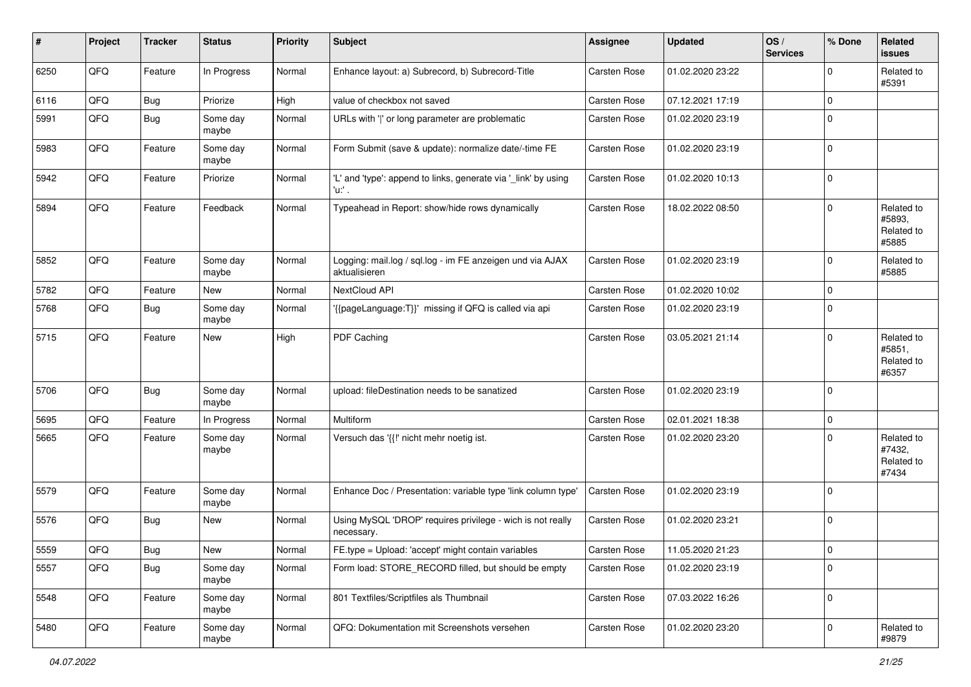| ∦    | Project        | <b>Tracker</b> | <b>Status</b>     | <b>Priority</b> | <b>Subject</b>                                                             | Assignee            | <b>Updated</b>   | OS/<br><b>Services</b> | % Done      | Related<br><b>issues</b>                    |
|------|----------------|----------------|-------------------|-----------------|----------------------------------------------------------------------------|---------------------|------------------|------------------------|-------------|---------------------------------------------|
| 6250 | QFQ            | Feature        | In Progress       | Normal          | Enhance layout: a) Subrecord, b) Subrecord-Title                           | <b>Carsten Rose</b> | 01.02.2020 23:22 |                        | $\mathbf 0$ | Related to<br>#5391                         |
| 6116 | QFQ            | <b>Bug</b>     | Priorize          | High            | value of checkbox not saved                                                | <b>Carsten Rose</b> | 07.12.2021 17:19 |                        | $\mathbf 0$ |                                             |
| 5991 | QFQ            | Bug            | Some day<br>maybe | Normal          | URLs with ' ' or long parameter are problematic                            | Carsten Rose        | 01.02.2020 23:19 |                        | $\mathbf 0$ |                                             |
| 5983 | QFQ            | Feature        | Some day<br>maybe | Normal          | Form Submit (save & update): normalize date/-time FE                       | Carsten Rose        | 01.02.2020 23:19 |                        | $\mathbf 0$ |                                             |
| 5942 | QFQ            | Feature        | Priorize          | Normal          | 'L' and 'type': append to links, generate via '_link' by using<br>'u:' .   | Carsten Rose        | 01.02.2020 10:13 |                        | $\mathbf 0$ |                                             |
| 5894 | QFQ            | Feature        | Feedback          | Normal          | Typeahead in Report: show/hide rows dynamically                            | <b>Carsten Rose</b> | 18.02.2022 08:50 |                        | $\mathbf 0$ | Related to<br>#5893,<br>Related to<br>#5885 |
| 5852 | QFQ            | Feature        | Some day<br>maybe | Normal          | Logging: mail.log / sql.log - im FE anzeigen und via AJAX<br>aktualisieren | Carsten Rose        | 01.02.2020 23:19 |                        | $\mathbf 0$ | Related to<br>#5885                         |
| 5782 | QFQ            | Feature        | New               | Normal          | NextCloud API                                                              | Carsten Rose        | 01.02.2020 10:02 |                        | $\mathbf 0$ |                                             |
| 5768 | QFQ            | <b>Bug</b>     | Some day<br>maybe | Normal          | '{{pageLanguage:T}}' missing if QFQ is called via api                      | Carsten Rose        | 01.02.2020 23:19 |                        | $\mathbf 0$ |                                             |
| 5715 | QFQ            | Feature        | New               | High            | PDF Caching                                                                | Carsten Rose        | 03.05.2021 21:14 |                        | $\mathbf 0$ | Related to<br>#5851,<br>Related to<br>#6357 |
| 5706 | QFQ            | Bug            | Some day<br>maybe | Normal          | upload: fileDestination needs to be sanatized                              | Carsten Rose        | 01.02.2020 23:19 |                        | $\mathbf 0$ |                                             |
| 5695 | QFQ            | Feature        | In Progress       | Normal          | Multiform                                                                  | Carsten Rose        | 02.01.2021 18:38 |                        | $\mathbf 0$ |                                             |
| 5665 | QFQ            | Feature        | Some day<br>maybe | Normal          | Versuch das '{{!' nicht mehr noetig ist.                                   | Carsten Rose        | 01.02.2020 23:20 |                        | $\mathbf 0$ | Related to<br>#7432,<br>Related to<br>#7434 |
| 5579 | QFQ            | Feature        | Some day<br>maybe | Normal          | Enhance Doc / Presentation: variable type 'link column type'               | Carsten Rose        | 01.02.2020 23:19 |                        | $\mathbf 0$ |                                             |
| 5576 | QFQ            | Bug            | New               | Normal          | Using MySQL 'DROP' requires privilege - wich is not really<br>necessary.   | Carsten Rose        | 01.02.2020 23:21 |                        | $\mathbf 0$ |                                             |
| 5559 | $\mathsf{QFQ}$ | Bug            | New               | Normal          | FE.type = Upload: 'accept' might contain variables                         | Carsten Rose        | 11.05.2020 21:23 |                        | $\mathsf 0$ |                                             |
| 5557 | QFQ            | Bug            | Some day<br>maybe | Normal          | Form load: STORE RECORD filled, but should be empty                        | Carsten Rose        | 01.02.2020 23:19 |                        | $\mathbf 0$ |                                             |
| 5548 | QFQ            | Feature        | Some day<br>maybe | Normal          | 801 Textfiles/Scriptfiles als Thumbnail                                    | Carsten Rose        | 07.03.2022 16:26 |                        | $\mathbf 0$ |                                             |
| 5480 | QFQ            | Feature        | Some day<br>maybe | Normal          | QFQ: Dokumentation mit Screenshots versehen                                | Carsten Rose        | 01.02.2020 23:20 |                        | $\mathbf 0$ | Related to<br>#9879                         |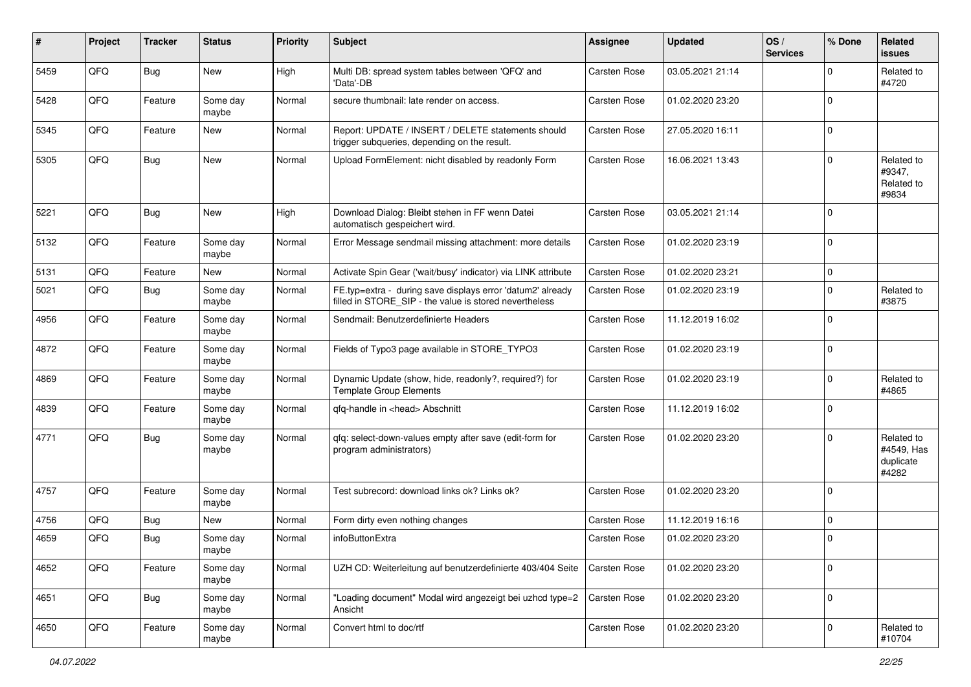| #    | Project | <b>Tracker</b> | <b>Status</b>     | <b>Priority</b> | Subject                                                                                                              | Assignee            | <b>Updated</b>   | OS/<br><b>Services</b> | % Done      | Related<br><b>issues</b>                       |
|------|---------|----------------|-------------------|-----------------|----------------------------------------------------------------------------------------------------------------------|---------------------|------------------|------------------------|-------------|------------------------------------------------|
| 5459 | QFQ     | Bug            | New               | High            | Multi DB: spread system tables between 'QFQ' and<br>'Data'-DB                                                        | Carsten Rose        | 03.05.2021 21:14 |                        | ∩           | Related to<br>#4720                            |
| 5428 | QFQ     | Feature        | Some day<br>maybe | Normal          | secure thumbnail: late render on access.                                                                             | <b>Carsten Rose</b> | 01.02.2020 23:20 |                        | $\mathbf 0$ |                                                |
| 5345 | QFQ     | Feature        | New               | Normal          | Report: UPDATE / INSERT / DELETE statements should<br>trigger subqueries, depending on the result.                   | Carsten Rose        | 27.05.2020 16:11 |                        | $\Omega$    |                                                |
| 5305 | QFQ     | Bug            | New               | Normal          | Upload FormElement: nicht disabled by readonly Form                                                                  | Carsten Rose        | 16.06.2021 13:43 |                        | $\Omega$    | Related to<br>#9347,<br>Related to<br>#9834    |
| 5221 | QFQ     | Bug            | New               | High            | Download Dialog: Bleibt stehen in FF wenn Datei<br>automatisch gespeichert wird.                                     | Carsten Rose        | 03.05.2021 21:14 |                        | $\Omega$    |                                                |
| 5132 | QFQ     | Feature        | Some day<br>maybe | Normal          | Error Message sendmail missing attachment: more details                                                              | Carsten Rose        | 01.02.2020 23:19 |                        | $\mathbf 0$ |                                                |
| 5131 | QFQ     | Feature        | New               | Normal          | Activate Spin Gear ('wait/busy' indicator) via LINK attribute                                                        | Carsten Rose        | 01.02.2020 23:21 |                        | $\mathbf 0$ |                                                |
| 5021 | QFQ     | Bug            | Some day<br>maybe | Normal          | FE.typ=extra - during save displays error 'datum2' already<br>filled in STORE_SIP - the value is stored nevertheless | Carsten Rose        | 01.02.2020 23:19 |                        | $\Omega$    | Related to<br>#3875                            |
| 4956 | QFQ     | Feature        | Some day<br>maybe | Normal          | Sendmail: Benutzerdefinierte Headers                                                                                 | <b>Carsten Rose</b> | 11.12.2019 16:02 |                        | $\Omega$    |                                                |
| 4872 | QFQ     | Feature        | Some day<br>maybe | Normal          | Fields of Typo3 page available in STORE_TYPO3                                                                        | Carsten Rose        | 01.02.2020 23:19 |                        | 0           |                                                |
| 4869 | QFQ     | Feature        | Some day<br>maybe | Normal          | Dynamic Update (show, hide, readonly?, required?) for<br><b>Template Group Elements</b>                              | Carsten Rose        | 01.02.2020 23:19 |                        | $\Omega$    | Related to<br>#4865                            |
| 4839 | QFQ     | Feature        | Some day<br>maybe | Normal          | qfq-handle in <head> Abschnitt</head>                                                                                | Carsten Rose        | 11.12.2019 16:02 |                        | $\Omega$    |                                                |
| 4771 | QFQ     | <b>Bug</b>     | Some day<br>maybe | Normal          | gfg: select-down-values empty after save (edit-form for<br>program administrators)                                   | Carsten Rose        | 01.02.2020 23:20 |                        | $\Omega$    | Related to<br>#4549, Has<br>duplicate<br>#4282 |
| 4757 | QFQ     | Feature        | Some day<br>maybe | Normal          | Test subrecord: download links ok? Links ok?                                                                         | Carsten Rose        | 01.02.2020 23:20 |                        | $\Omega$    |                                                |
| 4756 | QFQ     | Bug            | New               | Normal          | Form dirty even nothing changes                                                                                      | <b>Carsten Rose</b> | 11.12.2019 16:16 |                        | $\mathbf 0$ |                                                |
| 4659 | QFQ     | <b>Bug</b>     | Some day<br>maybe | Normal          | infoButtonExtra                                                                                                      | Carsten Rose        | 01.02.2020 23:20 |                        | $\Omega$    |                                                |
| 4652 | QFQ     | Feature        | Some day<br>maybe | Normal          | UZH CD: Weiterleitung auf benutzerdefinierte 403/404 Seite                                                           | <b>Carsten Rose</b> | 01.02.2020 23:20 |                        | 0           |                                                |
| 4651 | QFQ     | <b>Bug</b>     | Some day<br>maybe | Normal          | "Loading document" Modal wird angezeigt bei uzhcd type=2<br>Ansicht                                                  | <b>Carsten Rose</b> | 01.02.2020 23:20 |                        | 0           |                                                |
| 4650 | QFQ     | Feature        | Some day<br>maybe | Normal          | Convert html to doc/rtf                                                                                              | Carsten Rose        | 01.02.2020 23:20 |                        | $\mathbf 0$ | Related to<br>#10704                           |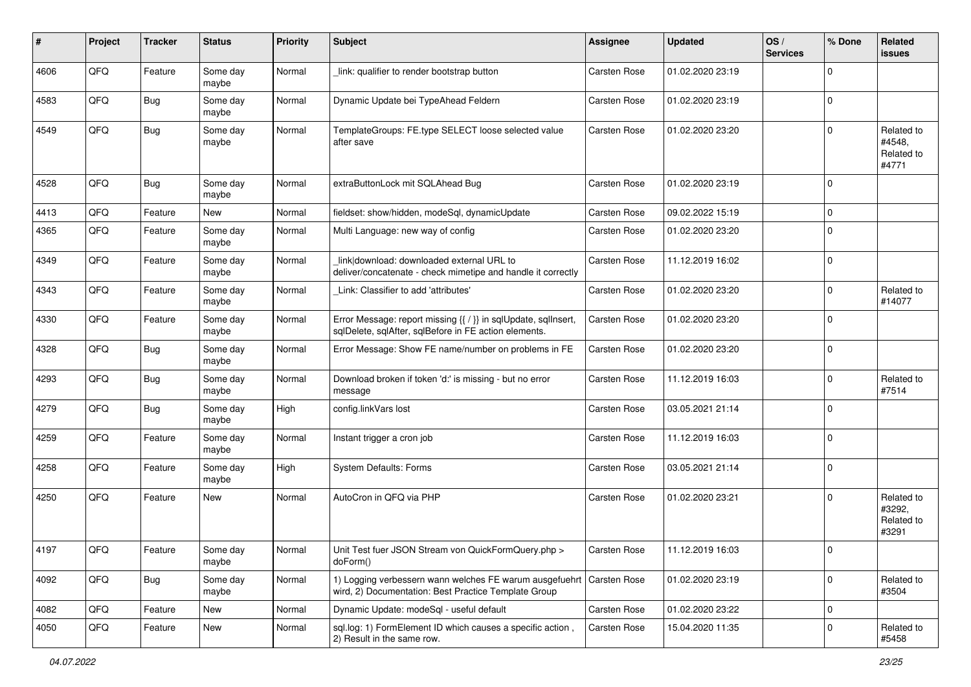| ∦    | Project | <b>Tracker</b> | <b>Status</b>     | <b>Priority</b> | Subject                                                                                                                      | Assignee     | <b>Updated</b>   | OS/<br><b>Services</b> | % Done      | Related<br><b>issues</b>                    |
|------|---------|----------------|-------------------|-----------------|------------------------------------------------------------------------------------------------------------------------------|--------------|------------------|------------------------|-------------|---------------------------------------------|
| 4606 | QFQ     | Feature        | Some day<br>maybe | Normal          | link: qualifier to render bootstrap button                                                                                   | Carsten Rose | 01.02.2020 23:19 |                        | $\Omega$    |                                             |
| 4583 | QFQ     | Bug            | Some day<br>maybe | Normal          | Dynamic Update bei TypeAhead Feldern                                                                                         | Carsten Rose | 01.02.2020 23:19 |                        | $\mathbf 0$ |                                             |
| 4549 | QFQ     | Bug            | Some day<br>maybe | Normal          | TemplateGroups: FE.type SELECT loose selected value<br>after save                                                            | Carsten Rose | 01.02.2020 23:20 |                        | $\Omega$    | Related to<br>#4548,<br>Related to<br>#4771 |
| 4528 | QFQ     | Bug            | Some day<br>maybe | Normal          | extraButtonLock mit SQLAhead Bug                                                                                             | Carsten Rose | 01.02.2020 23:19 |                        | $\mathbf 0$ |                                             |
| 4413 | QFQ     | Feature        | New               | Normal          | fieldset: show/hidden, modeSql, dynamicUpdate                                                                                | Carsten Rose | 09.02.2022 15:19 |                        | $\Omega$    |                                             |
| 4365 | QFQ     | Feature        | Some day<br>maybe | Normal          | Multi Language: new way of config                                                                                            | Carsten Rose | 01.02.2020 23:20 |                        | $\Omega$    |                                             |
| 4349 | QFQ     | Feature        | Some day<br>maybe | Normal          | link download: downloaded external URL to<br>deliver/concatenate - check mimetipe and handle it correctly                    | Carsten Rose | 11.12.2019 16:02 |                        | $\mathbf 0$ |                                             |
| 4343 | QFQ     | Feature        | Some day<br>maybe | Normal          | Link: Classifier to add 'attributes'                                                                                         | Carsten Rose | 01.02.2020 23:20 |                        | $\Omega$    | Related to<br>#14077                        |
| 4330 | QFQ     | Feature        | Some day<br>maybe | Normal          | Error Message: report missing {{ / }} in sqlUpdate, sqlInsert,<br>sqlDelete, sqlAfter, sqlBefore in FE action elements.      | Carsten Rose | 01.02.2020 23:20 |                        | $\mathbf 0$ |                                             |
| 4328 | QFQ     | Bug            | Some day<br>maybe | Normal          | Error Message: Show FE name/number on problems in FE                                                                         | Carsten Rose | 01.02.2020 23:20 |                        | $\mathbf 0$ |                                             |
| 4293 | QFQ     | <b>Bug</b>     | Some day<br>maybe | Normal          | Download broken if token 'd:' is missing - but no error<br>message                                                           | Carsten Rose | 11.12.2019 16:03 |                        | $\Omega$    | Related to<br>#7514                         |
| 4279 | QFQ     | <b>Bug</b>     | Some day<br>maybe | High            | config.linkVars lost                                                                                                         | Carsten Rose | 03.05.2021 21:14 |                        | $\Omega$    |                                             |
| 4259 | QFQ     | Feature        | Some day<br>maybe | Normal          | Instant trigger a cron job                                                                                                   | Carsten Rose | 11.12.2019 16:03 |                        | $\Omega$    |                                             |
| 4258 | QFQ     | Feature        | Some day<br>maybe | High            | <b>System Defaults: Forms</b>                                                                                                | Carsten Rose | 03.05.2021 21:14 |                        | $\mathbf 0$ |                                             |
| 4250 | QFQ     | Feature        | New               | Normal          | AutoCron in QFQ via PHP                                                                                                      | Carsten Rose | 01.02.2020 23:21 |                        | $\mathbf 0$ | Related to<br>#3292,<br>Related to<br>#3291 |
| 4197 | QFQ     | Feature        | Some day<br>maybe | Normal          | Unit Test fuer JSON Stream von QuickFormQuery.php ><br>doForm()                                                              | Carsten Rose | 11.12.2019 16:03 |                        |             |                                             |
| 4092 | QFQ     | Bug            | Some day<br>maybe | Normal          | 1) Logging verbessern wann welches FE warum ausgefuehrt Carsten Rose<br>wird, 2) Documentation: Best Practice Template Group |              | 01.02.2020 23:19 |                        | $\mathbf 0$ | Related to<br>#3504                         |
| 4082 | QFQ     | Feature        | New               | Normal          | Dynamic Update: modeSql - useful default                                                                                     | Carsten Rose | 01.02.2020 23:22 |                        | 0           |                                             |
| 4050 | QFQ     | Feature        | New               | Normal          | sql.log: 1) FormElement ID which causes a specific action,<br>2) Result in the same row.                                     | Carsten Rose | 15.04.2020 11:35 |                        | 0           | Related to<br>#5458                         |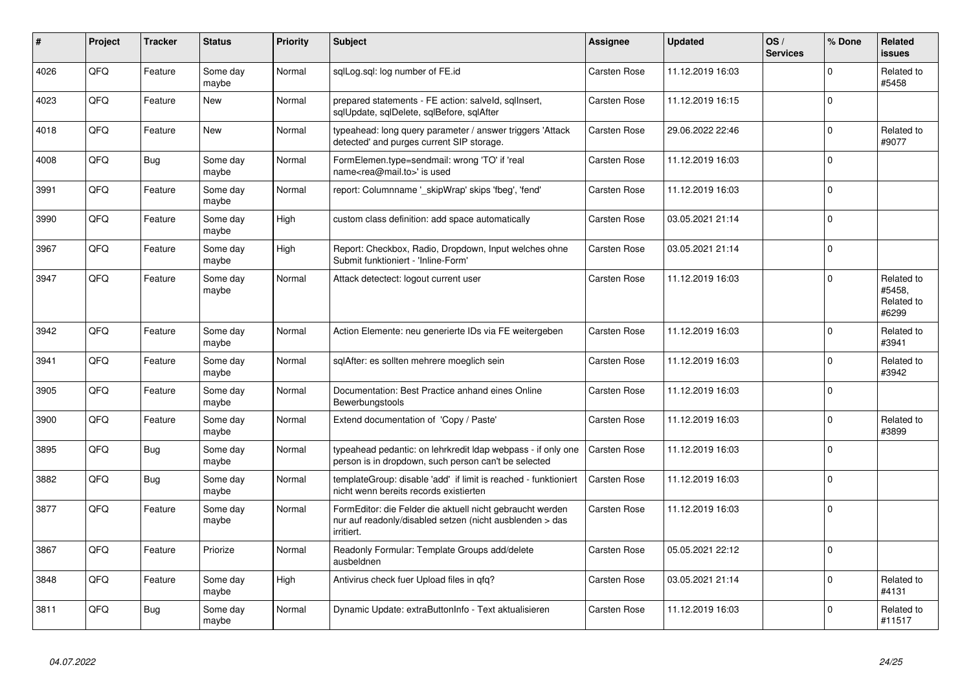| #    | Project | <b>Tracker</b> | <b>Status</b>     | <b>Priority</b> | <b>Subject</b>                                                                                                                      | Assignee            | <b>Updated</b>   | OS/<br><b>Services</b> | % Done      | Related<br>issues                           |
|------|---------|----------------|-------------------|-----------------|-------------------------------------------------------------------------------------------------------------------------------------|---------------------|------------------|------------------------|-------------|---------------------------------------------|
| 4026 | QFQ     | Feature        | Some day<br>maybe | Normal          | sglLog.sgl: log number of FE.id                                                                                                     | Carsten Rose        | 11.12.2019 16:03 |                        | $\Omega$    | Related to<br>#5458                         |
| 4023 | QFQ     | Feature        | <b>New</b>        | Normal          | prepared statements - FE action: salveld, sgllnsert,<br>sglUpdate, sglDelete, sglBefore, sglAfter                                   | Carsten Rose        | 11.12.2019 16:15 |                        | $\Omega$    |                                             |
| 4018 | QFQ     | Feature        | <b>New</b>        | Normal          | typeahead: long query parameter / answer triggers 'Attack<br>detected' and purges current SIP storage.                              | Carsten Rose        | 29.06.2022 22:46 |                        | $\Omega$    | Related to<br>#9077                         |
| 4008 | QFQ     | <b>Bug</b>     | Some day<br>maybe | Normal          | FormElemen.type=sendmail: wrong 'TO' if 'real<br>name <rea@mail.to>' is used</rea@mail.to>                                          | Carsten Rose        | 11.12.2019 16:03 |                        | $\Omega$    |                                             |
| 3991 | QFQ     | Feature        | Some day<br>maybe | Normal          | report: Columnname ' skipWrap' skips 'fbeg', 'fend'                                                                                 | Carsten Rose        | 11.12.2019 16:03 |                        | $\Omega$    |                                             |
| 3990 | QFQ     | Feature        | Some day<br>maybe | High            | custom class definition: add space automatically                                                                                    | <b>Carsten Rose</b> | 03.05.2021 21:14 |                        | $\Omega$    |                                             |
| 3967 | QFQ     | Feature        | Some day<br>maybe | High            | Report: Checkbox, Radio, Dropdown, Input welches ohne<br>Submit funktioniert - 'Inline-Form'                                        | <b>Carsten Rose</b> | 03.05.2021 21:14 |                        | $\Omega$    |                                             |
| 3947 | QFQ     | Feature        | Some day<br>maybe | Normal          | Attack detectect: logout current user                                                                                               | Carsten Rose        | 11.12.2019 16:03 |                        | $\Omega$    | Related to<br>#5458.<br>Related to<br>#6299 |
| 3942 | QFQ     | Feature        | Some day<br>maybe | Normal          | Action Elemente: neu generierte IDs via FE weitergeben                                                                              | Carsten Rose        | 11.12.2019 16:03 |                        | $\Omega$    | Related to<br>#3941                         |
| 3941 | QFQ     | Feature        | Some day<br>maybe | Normal          | sqlAfter: es sollten mehrere moeglich sein                                                                                          | Carsten Rose        | 11.12.2019 16:03 |                        | $\Omega$    | Related to<br>#3942                         |
| 3905 | QFQ     | Feature        | Some day<br>maybe | Normal          | Documentation: Best Practice anhand eines Online<br>Bewerbungstools                                                                 | Carsten Rose        | 11.12.2019 16:03 |                        | $\Omega$    |                                             |
| 3900 | QFQ     | Feature        | Some day<br>maybe | Normal          | Extend documentation of 'Copy / Paste'                                                                                              | Carsten Rose        | 11.12.2019 16:03 |                        | $\Omega$    | Related to<br>#3899                         |
| 3895 | QFQ     | Bug            | Some day<br>maybe | Normal          | typeahead pedantic: on lehrkredit Idap webpass - if only one<br>person is in dropdown, such person can't be selected                | <b>Carsten Rose</b> | 11.12.2019 16:03 |                        | $\Omega$    |                                             |
| 3882 | QFQ     | <b>Bug</b>     | Some day<br>maybe | Normal          | templateGroup: disable 'add' if limit is reached - funktioniert<br>nicht wenn bereits records existierten                           | <b>Carsten Rose</b> | 11.12.2019 16:03 |                        | $\Omega$    |                                             |
| 3877 | QFQ     | Feature        | Some day<br>maybe | Normal          | FormEditor: die Felder die aktuell nicht gebraucht werden<br>nur auf readonly/disabled setzen (nicht ausblenden > das<br>irritiert. | Carsten Rose        | 11.12.2019 16:03 |                        | $\mathbf 0$ |                                             |
| 3867 | QFQ     | Feature        | Priorize          | Normal          | Readonly Formular: Template Groups add/delete<br>ausbeldnen                                                                         | Carsten Rose        | 05.05.2021 22:12 |                        | I۵          |                                             |
| 3848 | QFQ     | Feature        | Some day<br>maybe | High            | Antivirus check fuer Upload files in qfq?                                                                                           | Carsten Rose        | 03.05.2021 21:14 |                        | $\Omega$    | Related to<br>#4131                         |
| 3811 | QFQ     | <b>Bug</b>     | Some day<br>maybe | Normal          | Dynamic Update: extraButtonInfo - Text aktualisieren                                                                                | Carsten Rose        | 11.12.2019 16:03 |                        | $\Omega$    | Related to<br>#11517                        |